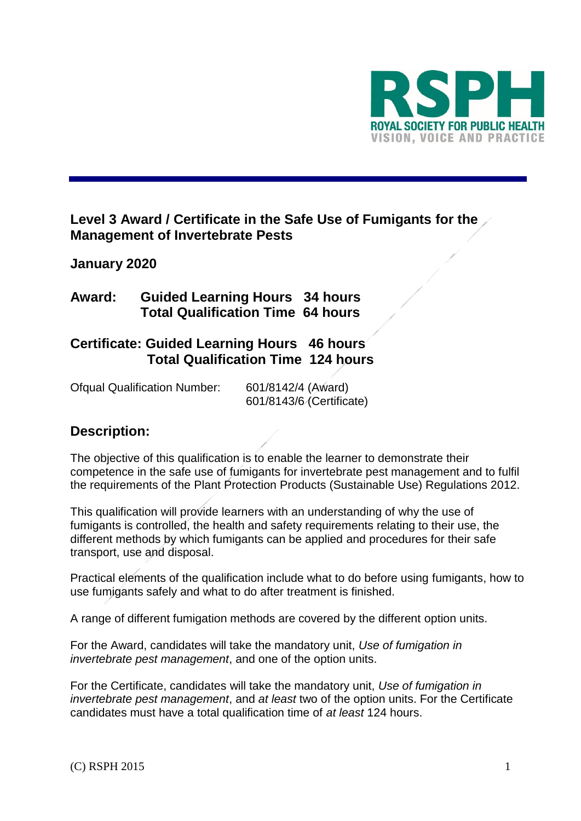

# **Level 3 Award / Certificate in the Safe Use of Fumigants for the Management of Invertebrate Pests**

# **January 2020**

# **Award: Guided Learning Hours 34 hours Total Qualification Time 64 hours**

# **Certificate: Guided Learning Hours 46 hours Total Qualification Time 124 hours**

Ofqual Qualification Number: 601/8142/4 (Award) 601/8143/6 (Certificate)

# **Description:**

The objective of this qualification is to enable the learner to demonstrate their competence in the safe use of fumigants for invertebrate pest management and to fulfil the requirements of the Plant Protection Products (Sustainable Use) Regulations 2012.

This qualification will provide learners with an understanding of why the use of fumigants is controlled, the health and safety requirements relating to their use, the different methods by which fumigants can be applied and procedures for their safe transport, use and disposal.

Practical elements of the qualification include what to do before using fumigants, how to use fumigants safely and what to do after treatment is finished.

A range of different fumigation methods are covered by the different option units.

For the Award, candidates will take the mandatory unit, *Use of fumigation in invertebrate pest management*, and one of the option units.

For the Certificate, candidates will take the mandatory unit, *Use of fumigation in invertebrate pest management*, and *at least* two of the option units. For the Certificate candidates must have a total qualification time of *at least* 124 hours.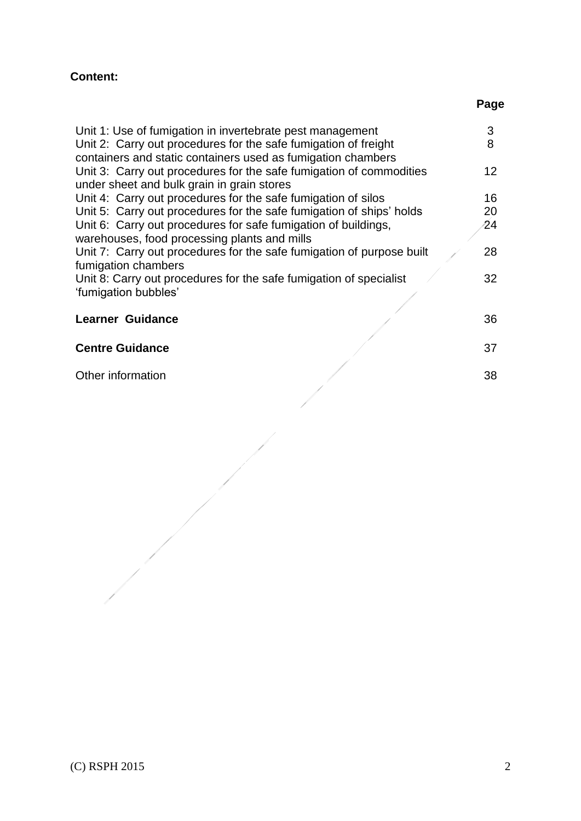# **Content:**

# **Page**

| Unit 1: Use of fumigation in invertebrate pest management             | 3               |
|-----------------------------------------------------------------------|-----------------|
| Unit 2: Carry out procedures for the safe fumigation of freight       | 8               |
| containers and static containers used as fumigation chambers          |                 |
| Unit 3: Carry out procedures for the safe fumigation of commodities   | 12 <sup>2</sup> |
| under sheet and bulk grain in grain stores                            |                 |
| Unit 4: Carry out procedures for the safe fumigation of silos         | 16              |
| Unit 5: Carry out procedures for the safe fumigation of ships' holds  | 20              |
| Unit 6: Carry out procedures for safe fumigation of buildings,        | 24              |
| warehouses, food processing plants and mills                          |                 |
| Unit 7: Carry out procedures for the safe fumigation of purpose built | 28              |
| fumigation chambers                                                   |                 |
| Unit 8: Carry out procedures for the safe fumigation of specialist    | 32              |
| 'fumigation bubbles'                                                  |                 |
|                                                                       |                 |
| <b>Learner Guidance</b>                                               | 36              |
|                                                                       |                 |
| <b>Centre Guidance</b>                                                | 37              |
| Other information                                                     | 38              |
|                                                                       |                 |

 $\frac{1}{\sqrt{2}}$ 

İ

 $\frac{1}{\sqrt{2}}$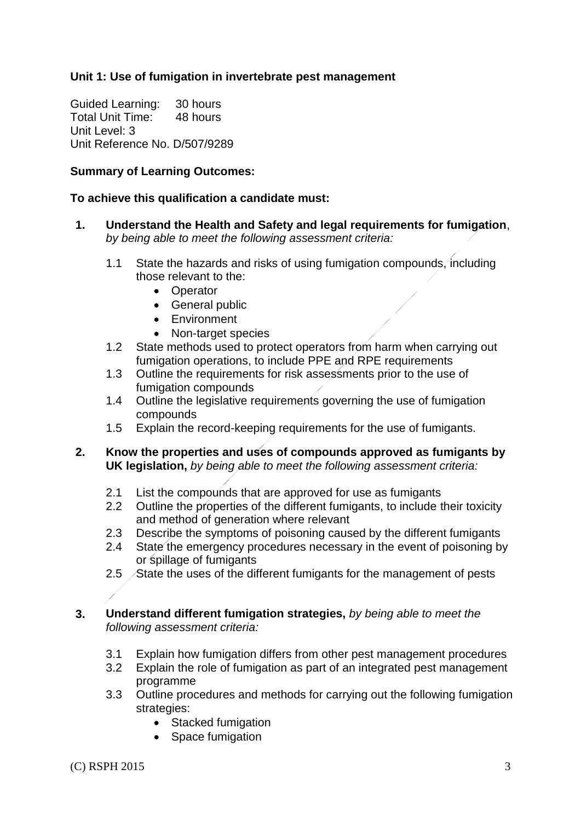### **Unit 1: Use of fumigation in invertebrate pest management**

Guided Learning: 30 hours Total Unit Time: 48 hours Unit Level: 3 Unit Reference No. D/507/9289

### **Summary of Learning Outcomes:**

### **To achieve this qualification a candidate must:**

- **1. Understand the Health and Safety and legal requirements for fumigation**, *by being able to meet the following assessment criteria:*
	- 1.1 State the hazards and risks of using fumigation compounds, including those relevant to the:
		- Operator
		- General public
		- Environment
		- Non-target species
	- 1.2 State methods used to protect operators from harm when carrying out fumigation operations, to include PPE and RPE requirements
	- 1.3 Outline the requirements for risk assessments prior to the use of fumigation compounds
	- 1.4 Outline the legislative requirements governing the use of fumigation compounds
	- 1.5 Explain the record-keeping requirements for the use of fumigants.
- **2. Know the properties and uses of compounds approved as fumigants by UK legislation,** *by being able to meet the following assessment criteria:*
	- 2.1 List the compounds that are approved for use as fumigants
	- 2.2 Outline the properties of the different fumigants, to include their toxicity and method of generation where relevant
	- 2.3 Describe the symptoms of poisoning caused by the different fumigants
	- 2.4 State the emergency procedures necessary in the event of poisoning by or spillage of fumigants
	- 2.5 State the uses of the different fumigants for the management of pests
- **3. Understand different fumigation strategies,** *by being able to meet the following assessment criteria:*
	- 3.1 Explain how fumigation differs from other pest management procedures
	- 3.2 Explain the role of fumigation as part of an integrated pest management programme
	- 3.3 Outline procedures and methods for carrying out the following fumigation strategies:
		- Stacked fumigation
		- Space fumigation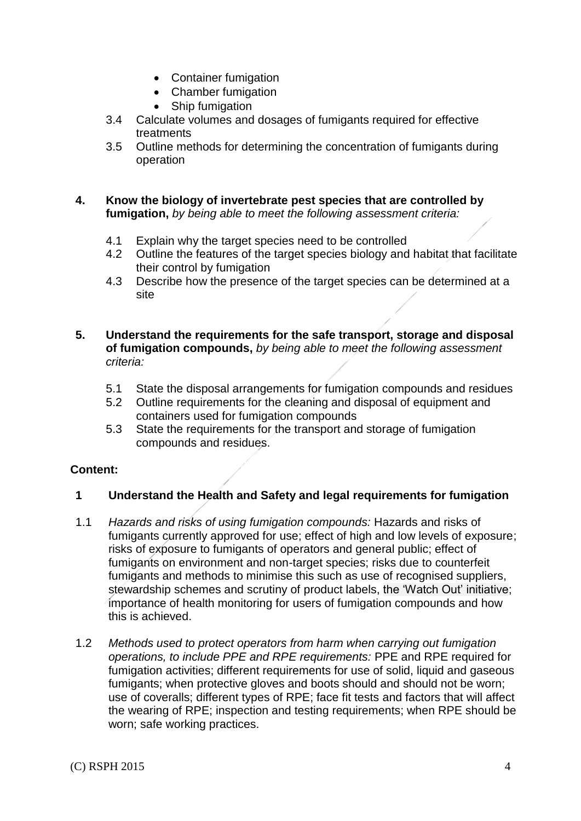- Container fumigation
- Chamber fumigation
- Ship fumigation
- 3.4 Calculate volumes and dosages of fumigants required for effective treatments
- 3.5 Outline methods for determining the concentration of fumigants during operation

### **4. Know the biology of invertebrate pest species that are controlled by fumigation,** *by being able to meet the following assessment criteria:*

- 4.1 Explain why the target species need to be controlled<br>4.2 Outline the features of the target species biology and
- Outline the features of the target species biology and habitat that facilitate their control by fumigation
- 4.3 Describe how the presence of the target species can be determined at a site
- **5. Understand the requirements for the safe transport, storage and disposal of fumigation compounds,** *by being able to meet the following assessment criteria:*
	- 5.1 State the disposal arrangements for fumigation compounds and residues
	- 5.2 Outline requirements for the cleaning and disposal of equipment and containers used for fumigation compounds
	- 5.3 State the requirements for the transport and storage of fumigation compounds and residues.

### **Content:**

### **1 Understand the Health and Safety and legal requirements for fumigation**

- 1.1 *Hazards and risks of using fumigation compounds:* Hazards and risks of fumigants currently approved for use; effect of high and low levels of exposure; risks of exposure to fumigants of operators and general public; effect of fumigants on environment and non-target species; risks due to counterfeit fumigants and methods to minimise this such as use of recognised suppliers, stewardship schemes and scrutiny of product labels, the 'Watch Out' initiative; importance of health monitoring for users of fumigation compounds and how this is achieved.
- 1.2 *Methods used to protect operators from harm when carrying out fumigation operations, to include PPE and RPE requirements:* PPE and RPE required for fumigation activities; different requirements for use of solid, liquid and gaseous fumigants; when protective gloves and boots should and should not be worn; use of coveralls; different types of RPE; face fit tests and factors that will affect the wearing of RPE; inspection and testing requirements; when RPE should be worn; safe working practices.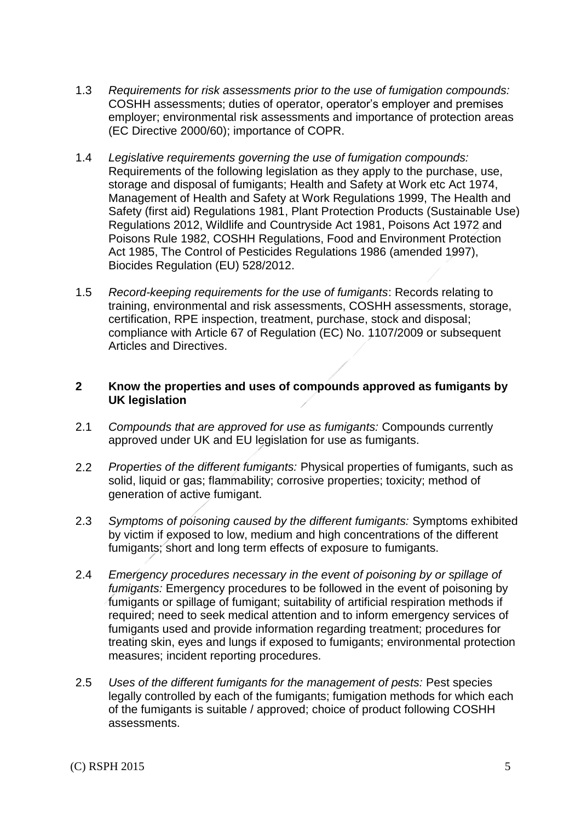- 1.3 *Requirements for risk assessments prior to the use of fumigation compounds:* COSHH assessments; duties of operator, operator's employer and premises employer; environmental risk assessments and importance of protection areas (EC Directive 2000/60); importance of COPR.
- 1.4 *Legislative requirements governing the use of fumigation compounds:* Requirements of the following legislation as they apply to the purchase, use, storage and disposal of fumigants; Health and Safety at Work etc Act 1974, Management of Health and Safety at Work Regulations 1999, The Health and Safety (first aid) Regulations 1981, Plant Protection Products (Sustainable Use) Regulations 2012, Wildlife and Countryside Act 1981, Poisons Act 1972 and Poisons Rule 1982, COSHH Regulations, Food and Environment Protection Act 1985, The Control of Pesticides Regulations 1986 (amended 1997), Biocides Regulation (EU) 528/2012.
- 1.5 *Record-keeping requirements for the use of fumigants*: Records relating to training, environmental and risk assessments, COSHH assessments, storage, certification, RPE inspection, treatment, purchase, stock and disposal; compliance with Article 67 of Regulation (EC) No. 1107/2009 or subsequent Articles and Directives.

### **2 Know the properties and uses of compounds approved as fumigants by UK legislation**

- 2.1 *Compounds that are approved for use as fumigants:* Compounds currently approved under UK and EU legislation for use as fumigants.
- 2.2 *Properties of the different fumigants:* Physical properties of fumigants, such as solid, liquid or gas; flammability; corrosive properties; toxicity; method of generation of active fumigant.
- 2.3 *Symptoms of poisoning caused by the different fumigants:* Symptoms exhibited by victim if exposed to low, medium and high concentrations of the different fumigants; short and long term effects of exposure to fumigants.
- 2.4 *Emergency procedures necessary in the event of poisoning by or spillage of fumigants:* Emergency procedures to be followed in the event of poisoning by fumigants or spillage of fumigant; suitability of artificial respiration methods if required; need to seek medical attention and to inform emergency services of fumigants used and provide information regarding treatment; procedures for treating skin, eyes and lungs if exposed to fumigants; environmental protection measures; incident reporting procedures.
- 2.5 *Uses of the different fumigants for the management of pests:* Pest species legally controlled by each of the fumigants; fumigation methods for which each of the fumigants is suitable / approved; choice of product following COSHH assessments.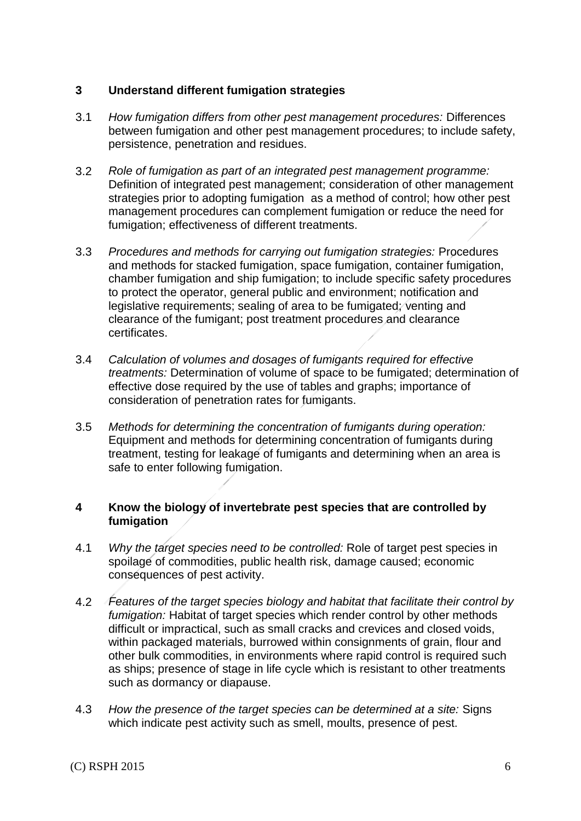### **3 Understand different fumigation strategies**

- 3.1 *How fumigation differs from other pest management procedures:* Differences between fumigation and other pest management procedures; to include safety, persistence, penetration and residues.
- 3.2 *Role of fumigation as part of an integrated pest management programme:*  Definition of integrated pest management; consideration of other management strategies prior to adopting fumigation as a method of control; how other pest management procedures can complement fumigation or reduce the need for fumigation; effectiveness of different treatments.
- 3.3 *Procedures and methods for carrying out fumigation strategies:* Procedures and methods for stacked fumigation, space fumigation, container fumigation, chamber fumigation and ship fumigation; to include specific safety procedures to protect the operator, general public and environment; notification and legislative requirements; sealing of area to be fumigated; venting and clearance of the fumigant; post treatment procedures and clearance certificates.
- 3.4 *Calculation of volumes and dosages of fumigants required for effective treatments:* Determination of volume of space to be fumigated; determination of effective dose required by the use of tables and graphs; importance of consideration of penetration rates for fumigants.
- 3.5 *Methods for determining the concentration of fumigants during operation:* Equipment and methods for determining concentration of fumigants during treatment, testing for leakage of fumigants and determining when an area is safe to enter following fumigation.

### **4 Know the biology of invertebrate pest species that are controlled by fumigation**

- 4.1 *Why the target species need to be controlled:* Role of target pest species in spoilage of commodities, public health risk, damage caused; economic consequences of pest activity.
- 4.2 *Features of the target species biology and habitat that facilitate their control by fumigation:* Habitat of target species which render control by other methods difficult or impractical, such as small cracks and crevices and closed voids, within packaged materials, burrowed within consignments of grain, flour and other bulk commodities, in environments where rapid control is required such as ships; presence of stage in life cycle which is resistant to other treatments such as dormancy or diapause.
- 4.3 *How the presence of the target species can be determined at a site:* Signs which indicate pest activity such as smell, moults, presence of pest.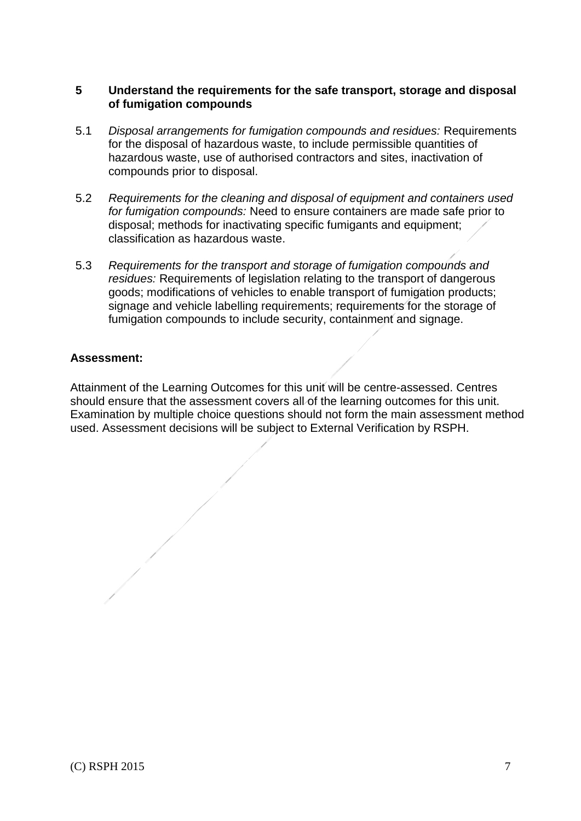### **5 Understand the requirements for the safe transport, storage and disposal of fumigation compounds**

- 5.1 *Disposal arrangements for fumigation compounds and residues:* Requirements for the disposal of hazardous waste, to include permissible quantities of hazardous waste, use of authorised contractors and sites, inactivation of compounds prior to disposal.
- 5.2 *Requirements for the cleaning and disposal of equipment and containers used for fumigation compounds:* Need to ensure containers are made safe prior to disposal; methods for inactivating specific fumigants and equipment; classification as hazardous waste.
- 5.3 *Requirements for the transport and storage of fumigation compounds and residues:* Requirements of legislation relating to the transport of dangerous goods; modifications of vehicles to enable transport of fumigation products; signage and vehicle labelling requirements; requirements for the storage of fumigation compounds to include security, containment and signage.

### **Assessment:**

Attainment of the Learning Outcomes for this unit will be centre-assessed. Centres should ensure that the assessment covers all of the learning outcomes for this unit. Examination by multiple choice questions should not form the main assessment method used. Assessment decisions will be subject to External Verification by RSPH.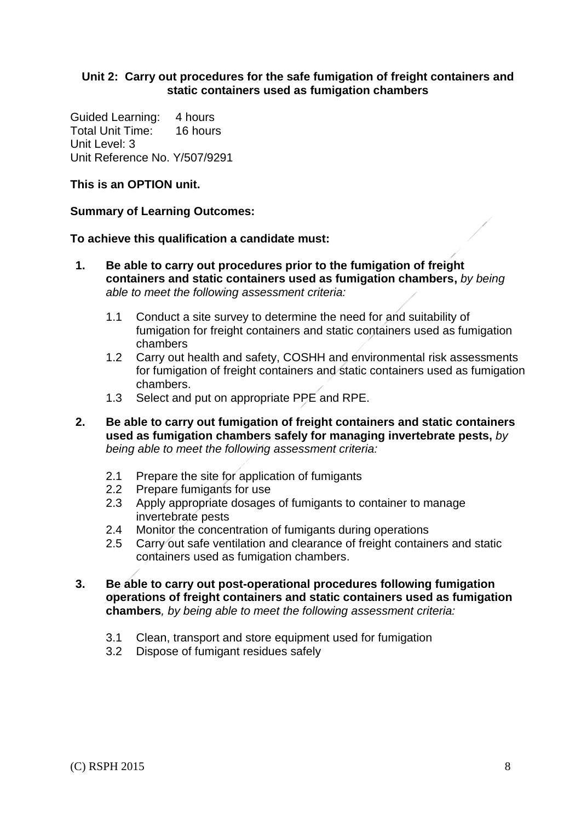### **Unit 2: Carry out procedures for the safe fumigation of freight containers and static containers used as fumigation chambers**

Guided Learning: 4 hours Total Unit Time: 16 hours Unit Level: 3 Unit Reference No. Y/507/9291

### **This is an OPTION unit.**

#### **Summary of Learning Outcomes:**

#### **To achieve this qualification a candidate must:**

- **1. Be able to carry out procedures prior to the fumigation of freight containers and static containers used as fumigation chambers,** *by being able to meet the following assessment criteria:*
	- 1.1 Conduct a site survey to determine the need for and suitability of fumigation for freight containers and static containers used as fumigation chambers
	- 1.2 Carry out health and safety, COSHH and environmental risk assessments for fumigation of freight containers and static containers used as fumigation chambers.
	- 1.3 Select and put on appropriate PPE and RPE.
- **2. Be able to carry out fumigation of freight containers and static containers used as fumigation chambers safely for managing invertebrate pests,** *by being able to meet the following assessment criteria:*
	- 2.1 Prepare the site for application of fumigants
	- 2.2 Prepare fumigants for use
	- 2.3 Apply appropriate dosages of fumigants to container to manage invertebrate pests
	- 2.4 Monitor the concentration of fumigants during operations
	- 2.5 Carry out safe ventilation and clearance of freight containers and static containers used as fumigation chambers.
- **3. Be able to carry out post-operational procedures following fumigation operations of freight containers and static containers used as fumigation chambers***, by being able to meet the following assessment criteria:*
	- 3.1 Clean, transport and store equipment used for fumigation
	- 3.2 Dispose of fumigant residues safely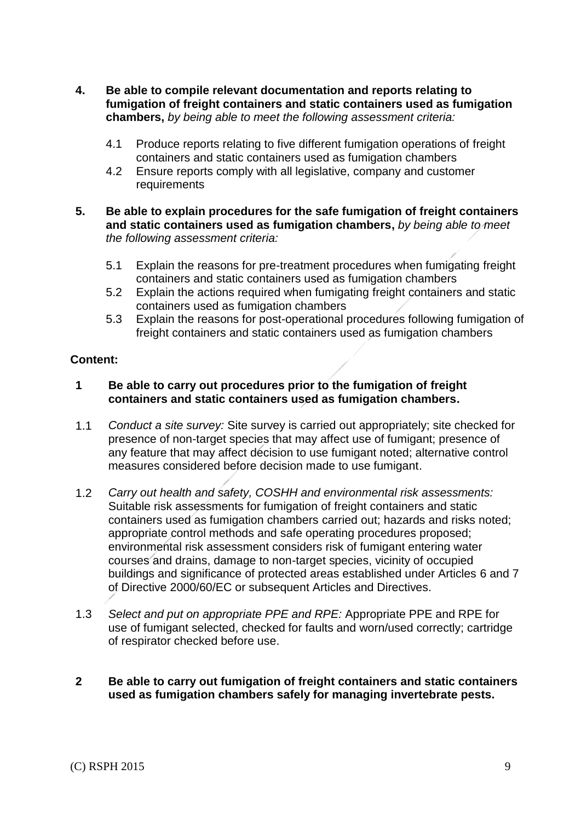- **4. Be able to compile relevant documentation and reports relating to fumigation of freight containers and static containers used as fumigation chambers,** *by being able to meet the following assessment criteria:*
	- 4.1 Produce reports relating to five different fumigation operations of freight containers and static containers used as fumigation chambers
	- 4.2 Ensure reports comply with all legislative, company and customer requirements
- **5. Be able to explain procedures for the safe fumigation of freight containers and static containers used as fumigation chambers,** *by being able to meet the following assessment criteria:*
	- 5.1 Explain the reasons for pre-treatment procedures when fumigating freight containers and static containers used as fumigation chambers
	- 5.2 Explain the actions required when fumigating freight containers and static containers used as fumigation chambers
	- 5.3 Explain the reasons for post-operational procedures following fumigation of freight containers and static containers used as fumigation chambers

### **Content:**

### **1 Be able to carry out procedures prior to the fumigation of freight containers and static containers used as fumigation chambers.**

- 1.1 *Conduct a site survey:* Site survey is carried out appropriately; site checked for presence of non-target species that may affect use of fumigant; presence of any feature that may affect decision to use fumigant noted; alternative control measures considered before decision made to use fumigant.
- 1.2 *Carry out health and safety, COSHH and environmental risk assessments:* Suitable risk assessments for fumigation of freight containers and static containers used as fumigation chambers carried out; hazards and risks noted; appropriate control methods and safe operating procedures proposed; environmental risk assessment considers risk of fumigant entering water courses and drains, damage to non-target species, vicinity of occupied buildings and significance of protected areas established under Articles 6 and 7 of Directive 2000/60/EC or subsequent Articles and Directives.
- 1.3 *Select and put on appropriate PPE and RPE:* Appropriate PPE and RPE for use of fumigant selected, checked for faults and worn/used correctly; cartridge of respirator checked before use.
- **2 Be able to carry out fumigation of freight containers and static containers used as fumigation chambers safely for managing invertebrate pests.**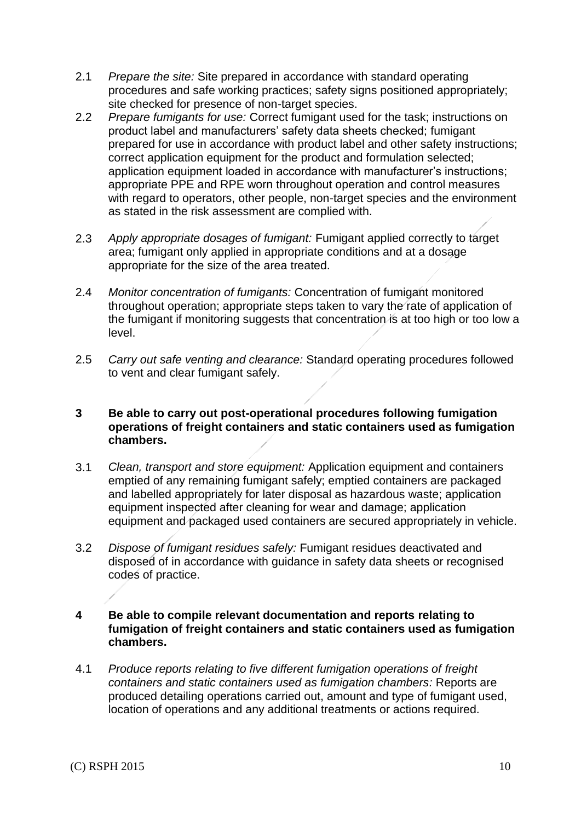- 2.1 *Prepare the site:* Site prepared in accordance with standard operating procedures and safe working practices; safety signs positioned appropriately; site checked for presence of non-target species.
- 2.2 *Prepare fumigants for use:* Correct fumigant used for the task; instructions on product label and manufacturers' safety data sheets checked; fumigant prepared for use in accordance with product label and other safety instructions; correct application equipment for the product and formulation selected; application equipment loaded in accordance with manufacturer's instructions; appropriate PPE and RPE worn throughout operation and control measures with regard to operators, other people, non-target species and the environment as stated in the risk assessment are complied with.
- 2.3 *Apply appropriate dosages of fumigant:* Fumigant applied correctly to target area; fumigant only applied in appropriate conditions and at a dosage appropriate for the size of the area treated.
- 2.4 *Monitor concentration of fumigants:* Concentration of fumigant monitored throughout operation; appropriate steps taken to vary the rate of application of the fumigant if monitoring suggests that concentration is at too high or too low a level.
- 2.5 *Carry out safe venting and clearance:* Standard operating procedures followed to vent and clear fumigant safely.

### **3 Be able to carry out post-operational procedures following fumigation operations of freight containers and static containers used as fumigation chambers.**

- 3.1 *Clean, transport and store equipment:* Application equipment and containers emptied of any remaining fumigant safely; emptied containers are packaged and labelled appropriately for later disposal as hazardous waste; application equipment inspected after cleaning for wear and damage; application equipment and packaged used containers are secured appropriately in vehicle.
- 3.2 *Dispose of fumigant residues safely:* Fumigant residues deactivated and disposed of in accordance with guidance in safety data sheets or recognised codes of practice.

### **4 Be able to compile relevant documentation and reports relating to fumigation of freight containers and static containers used as fumigation chambers.**

4.1 *Produce reports relating to five different fumigation operations of freight containers and static containers used as fumigation chambers:* Reports are produced detailing operations carried out, amount and type of fumigant used, location of operations and any additional treatments or actions required.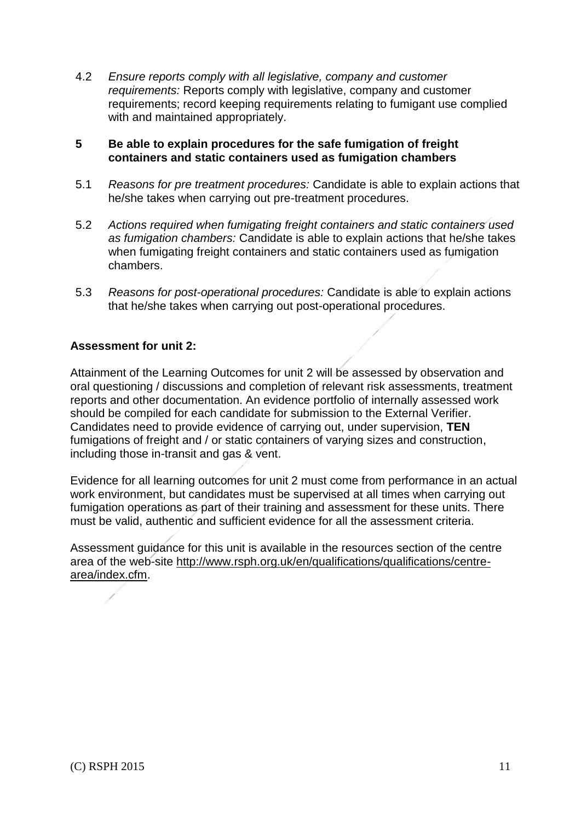4.2 *Ensure reports comply with all legislative, company and customer requirements:* Reports comply with legislative, company and customer requirements; record keeping requirements relating to fumigant use complied with and maintained appropriately.

### **5 Be able to explain procedures for the safe fumigation of freight containers and static containers used as fumigation chambers**

- 5.1 *Reasons for pre treatment procedures:* Candidate is able to explain actions that he/she takes when carrying out pre-treatment procedures.
- 5.2 *Actions required when fumigating freight containers and static containers used as fumigation chambers:* Candidate is able to explain actions that he/she takes when fumigating freight containers and static containers used as fumigation chambers.
- 5.3 *Reasons for post-operational procedures:* Candidate is able to explain actions that he/she takes when carrying out post-operational procedures.

### **Assessment for unit 2:**

Attainment of the Learning Outcomes for unit 2 will be assessed by observation and oral questioning / discussions and completion of relevant risk assessments, treatment reports and other documentation. An evidence portfolio of internally assessed work should be compiled for each candidate for submission to the External Verifier. Candidates need to provide evidence of carrying out, under supervision, **TEN** fumigations of freight and / or static containers of varying sizes and construction, including those in-transit and gas & vent.

Evidence for all learning outcomes for unit 2 must come from performance in an actual work environment, but candidates must be supervised at all times when carrying out fumigation operations as part of their training and assessment for these units. There must be valid, authentic and sufficient evidence for all the assessment criteria.

Assessment guidance for this unit is available in the resources section of the centre area of the web-site [http://www.rsph.org.uk/en/qualifications/qualifications/centre](http://www.rsph.org.uk/en/qualifications/qualifications/centre-area/index.cfm)[area/index.cfm.](http://www.rsph.org.uk/en/qualifications/qualifications/centre-area/index.cfm)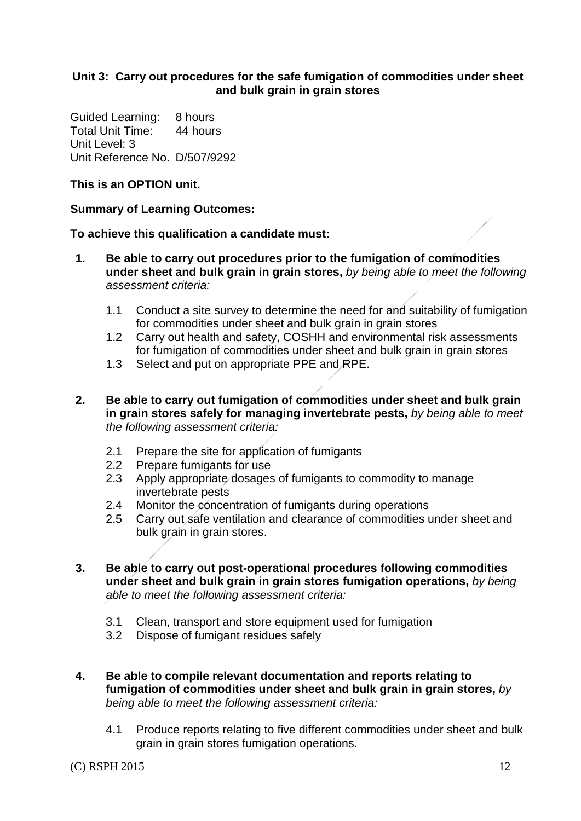### **Unit 3: Carry out procedures for the safe fumigation of commodities under sheet and bulk grain in grain stores**

Guided Learning: 8 hours Total Unit Time: 44 hours Unit Level: 3 Unit Reference No. D/507/9292

### **This is an OPTION unit.**

### **Summary of Learning Outcomes:**

### **To achieve this qualification a candidate must:**

- **1. Be able to carry out procedures prior to the fumigation of commodities under sheet and bulk grain in grain stores,** *by being able to meet the following assessment criteria:*
	- 1.1 Conduct a site survey to determine the need for and suitability of fumigation for commodities under sheet and bulk grain in grain stores
	- 1.2 Carry out health and safety, COSHH and environmental risk assessments for fumigation of commodities under sheet and bulk grain in grain stores
	- 1.3 Select and put on appropriate PPE and RPE.
- **2. Be able to carry out fumigation of commodities under sheet and bulk grain in grain stores safely for managing invertebrate pests,** *by being able to meet the following assessment criteria:*
	- 2.1 Prepare the site for application of fumigants
	- 2.2 Prepare fumigants for use
	- 2.3 Apply appropriate dosages of fumigants to commodity to manage invertebrate pests
	- 2.4 Monitor the concentration of fumigants during operations
	- 2.5 Carry out safe ventilation and clearance of commodities under sheet and bulk grain in grain stores.
- **3. Be able to carry out post-operational procedures following commodities under sheet and bulk grain in grain stores fumigation operations,** *by being able to meet the following assessment criteria:*
	- 3.1 Clean, transport and store equipment used for fumigation
	- 3.2 Dispose of fumigant residues safely
- **4. Be able to compile relevant documentation and reports relating to fumigation of commodities under sheet and bulk grain in grain stores,** *by being able to meet the following assessment criteria:*
	- 4.1 Produce reports relating to five different commodities under sheet and bulk grain in grain stores fumigation operations.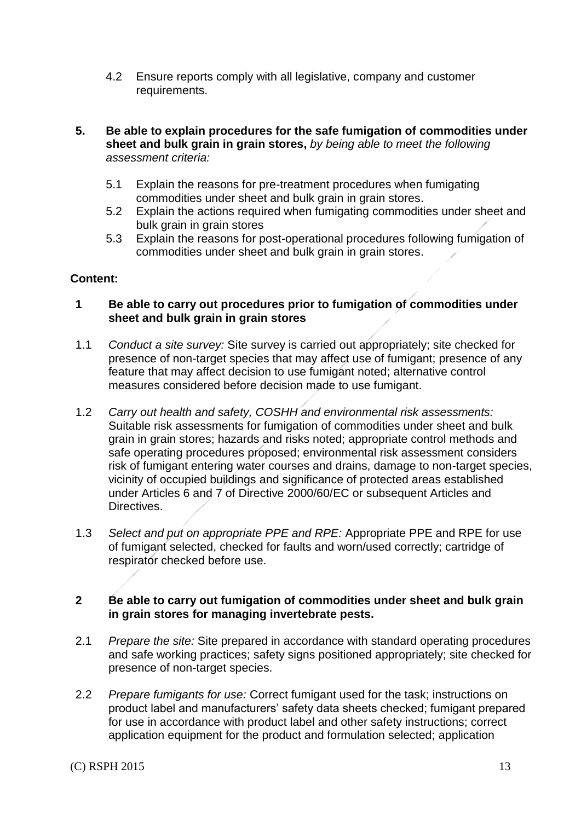- 4.2 Ensure reports comply with all legislative, company and customer requirements.
- **5. Be able to explain procedures for the safe fumigation of commodities under sheet and bulk grain in grain stores,** *by being able to meet the following assessment criteria:*
	- 5.1 Explain the reasons for pre-treatment procedures when fumigating commodities under sheet and bulk grain in grain stores.
	- 5.2 Explain the actions required when fumigating commodities under sheet and bulk grain in grain stores
	- 5.3 Explain the reasons for post-operational procedures following fumigation of commodities under sheet and bulk grain in grain stores.

### **Content:**

### **1 Be able to carry out procedures prior to fumigation of commodities under sheet and bulk grain in grain stores**

- 1.1 *Conduct a site survey:* Site survey is carried out appropriately; site checked for presence of non-target species that may affect use of fumigant; presence of any feature that may affect decision to use fumigant noted; alternative control measures considered before decision made to use fumigant.
- 1.2 *Carry out health and safety, COSHH and environmental risk assessments:* Suitable risk assessments for fumigation of commodities under sheet and bulk grain in grain stores; hazards and risks noted; appropriate control methods and safe operating procedures proposed; environmental risk assessment considers risk of fumigant entering water courses and drains, damage to non-target species, vicinity of occupied buildings and significance of protected areas established under Articles 6 and 7 of Directive 2000/60/EC or subsequent Articles and Directives.
- 1.3 *Select and put on appropriate PPE and RPE:* Appropriate PPE and RPE for use of fumigant selected, checked for faults and worn/used correctly; cartridge of respirator checked before use.

### **2 Be able to carry out fumigation of commodities under sheet and bulk grain in grain stores for managing invertebrate pests.**

- 2.1 *Prepare the site:* Site prepared in accordance with standard operating procedures and safe working practices; safety signs positioned appropriately; site checked for presence of non-target species.
- 2.2 *Prepare fumigants for use:* Correct fumigant used for the task; instructions on product label and manufacturers' safety data sheets checked; fumigant prepared for use in accordance with product label and other safety instructions; correct application equipment for the product and formulation selected; application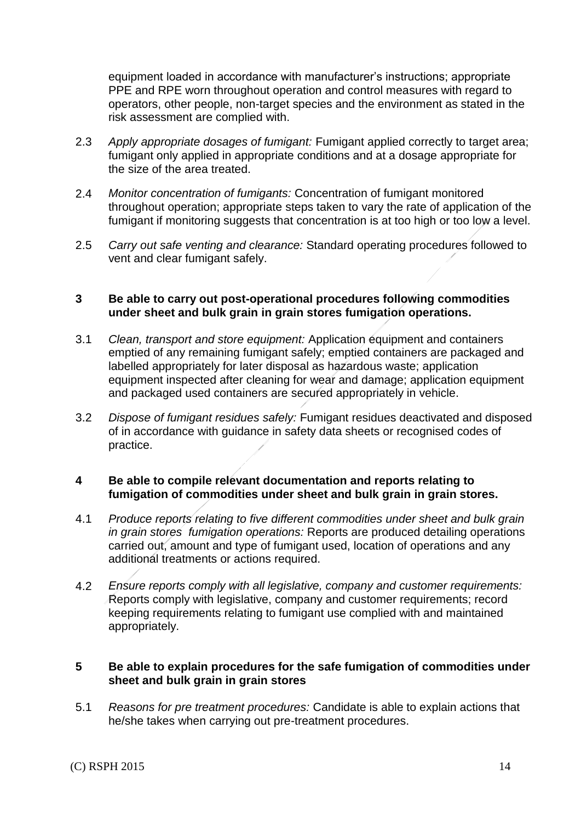equipment loaded in accordance with manufacturer's instructions; appropriate PPE and RPE worn throughout operation and control measures with regard to operators, other people, non-target species and the environment as stated in the risk assessment are complied with.

- 2.3 *Apply appropriate dosages of fumigant:* Fumigant applied correctly to target area; fumigant only applied in appropriate conditions and at a dosage appropriate for the size of the area treated.
- 2.4 *Monitor concentration of fumigants:* Concentration of fumigant monitored throughout operation; appropriate steps taken to vary the rate of application of the fumigant if monitoring suggests that concentration is at too high or too low a level.
- 2.5 *Carry out safe venting and clearance:* Standard operating procedures followed to vent and clear fumigant safely.

### **3 Be able to carry out post-operational procedures following commodities under sheet and bulk grain in grain stores fumigation operations.**

- 3.1 *Clean, transport and store equipment:* Application equipment and containers emptied of any remaining fumigant safely; emptied containers are packaged and labelled appropriately for later disposal as hazardous waste; application equipment inspected after cleaning for wear and damage; application equipment and packaged used containers are secured appropriately in vehicle.
- 3.2 *Dispose of fumigant residues safely:* Fumigant residues deactivated and disposed of in accordance with guidance in safety data sheets or recognised codes of practice.

#### **4 Be able to compile relevant documentation and reports relating to fumigation of commodities under sheet and bulk grain in grain stores.**

- 4.1 *Produce reports relating to five different commodities under sheet and bulk grain in grain stores fumigation operations:* Reports are produced detailing operations carried out, amount and type of fumigant used, location of operations and any additional treatments or actions required.
- 4.2 *Ensure reports comply with all legislative, company and customer requirements:* Reports comply with legislative, company and customer requirements; record keeping requirements relating to fumigant use complied with and maintained appropriately.

#### **5 Be able to explain procedures for the safe fumigation of commodities under sheet and bulk grain in grain stores**

5.1 *Reasons for pre treatment procedures:* Candidate is able to explain actions that he/she takes when carrying out pre-treatment procedures.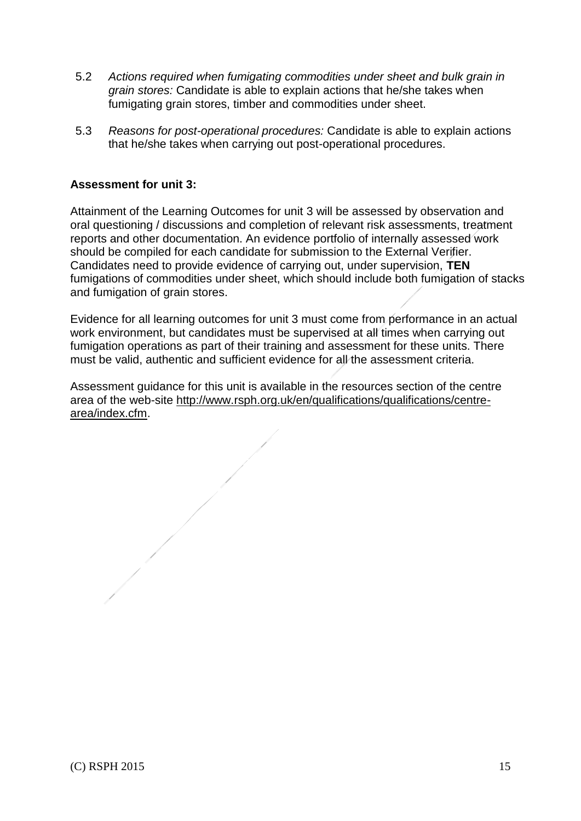- 5.2 *Actions required when fumigating commodities under sheet and bulk grain in grain stores:* Candidate is able to explain actions that he/she takes when fumigating grain stores, timber and commodities under sheet.
- 5.3 *Reasons for post-operational procedures:* Candidate is able to explain actions that he/she takes when carrying out post-operational procedures.

### **Assessment for unit 3:**

Attainment of the Learning Outcomes for unit 3 will be assessed by observation and oral questioning / discussions and completion of relevant risk assessments, treatment reports and other documentation. An evidence portfolio of internally assessed work should be compiled for each candidate for submission to the External Verifier. Candidates need to provide evidence of carrying out, under supervision, **TEN**  fumigations of commodities under sheet, which should include both fumigation of stacks and fumigation of grain stores.

Evidence for all learning outcomes for unit 3 must come from performance in an actual work environment, but candidates must be supervised at all times when carrying out fumigation operations as part of their training and assessment for these units. There must be valid, authentic and sufficient evidence for all the assessment criteria.

Assessment guidance for this unit is available in the resources section of the centre area of the web-site [http://www.rsph.org.uk/en/qualifications/qualifications/centre](http://www.rsph.org.uk/en/qualifications/qualifications/centre-area/index.cfm)[area/index.cfm.](http://www.rsph.org.uk/en/qualifications/qualifications/centre-area/index.cfm)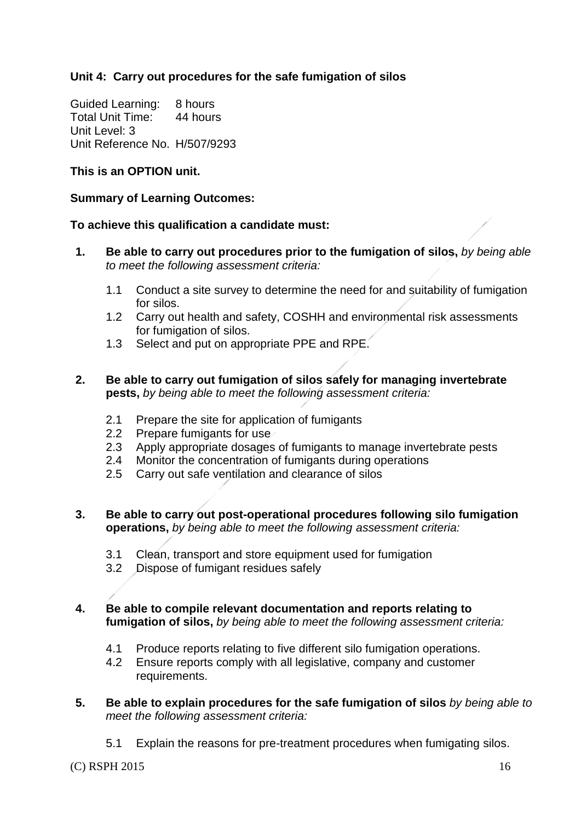### **Unit 4: Carry out procedures for the safe fumigation of silos**

Guided Learning: 8 hours Total Unit Time: 44 hours Unit Level: 3 Unit Reference No. H/507/9293

### **This is an OPTION unit.**

### **Summary of Learning Outcomes:**

### **To achieve this qualification a candidate must:**

- **1. Be able to carry out procedures prior to the fumigation of silos,** *by being able to meet the following assessment criteria:*
	- 1.1 Conduct a site survey to determine the need for and suitability of fumigation for silos.
	- 1.2 Carry out health and safety, COSHH and environmental risk assessments for fumigation of silos.
	- 1.3 Select and put on appropriate PPE and RPE.
- **2. Be able to carry out fumigation of silos safely for managing invertebrate pests,** *by being able to meet the following assessment criteria:*
	- 2.1 Prepare the site for application of fumigants
	- 2.2 Prepare fumigants for use
	- 2.3 Apply appropriate dosages of fumigants to manage invertebrate pests
	- 2.4 Monitor the concentration of fumigants during operations
	- 2.5 Carry out safe ventilation and clearance of silos
- **3. Be able to carry out post-operational procedures following silo fumigation operations,** *by being able to meet the following assessment criteria:*
	- 3.1 Clean, transport and store equipment used for fumigation
	- 3.2 Dispose of fumigant residues safely

### **4. Be able to compile relevant documentation and reports relating to fumigation of silos,** *by being able to meet the following assessment criteria:*

- 4.1 Produce reports relating to five different silo fumigation operations.
- 4.2 Ensure reports comply with all legislative, company and customer requirements.
- **5. Be able to explain procedures for the safe fumigation of silos** *by being able to meet the following assessment criteria:*
	- 5.1 Explain the reasons for pre-treatment procedures when fumigating silos.

(C) RSPH 2015 16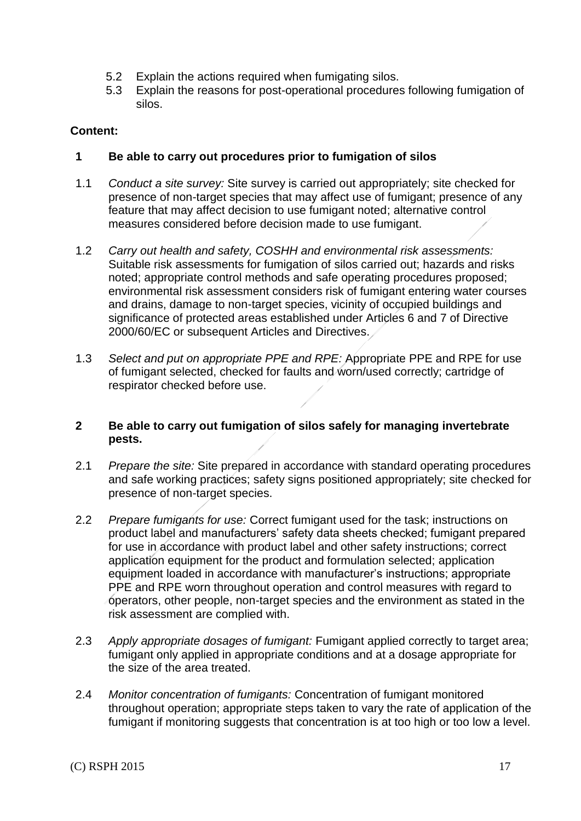- 5.2 Explain the actions required when fumigating silos.
- 5.3 Explain the reasons for post-operational procedures following fumigation of silos.

### **Content:**

### **1 Be able to carry out procedures prior to fumigation of silos**

- 1.1 *Conduct a site survey:* Site survey is carried out appropriately; site checked for presence of non-target species that may affect use of fumigant; presence of any feature that may affect decision to use fumigant noted; alternative control measures considered before decision made to use fumigant.
- 1.2 *Carry out health and safety, COSHH and environmental risk assessments:* Suitable risk assessments for fumigation of silos carried out; hazards and risks noted; appropriate control methods and safe operating procedures proposed; environmental risk assessment considers risk of fumigant entering water courses and drains, damage to non-target species, vicinity of occupied buildings and significance of protected areas established under Articles 6 and 7 of Directive 2000/60/EC or subsequent Articles and Directives.
- 1.3 *Select and put on appropriate PPE and RPE:* Appropriate PPE and RPE for use of fumigant selected, checked for faults and worn/used correctly; cartridge of respirator checked before use.

#### **2 Be able to carry out fumigation of silos safely for managing invertebrate pests.**

- 2.1 *Prepare the site:* Site prepared in accordance with standard operating procedures and safe working practices; safety signs positioned appropriately; site checked for presence of non-target species.
- 2.2 *Prepare fumigants for use:* Correct fumigant used for the task; instructions on product label and manufacturers' safety data sheets checked; fumigant prepared for use in accordance with product label and other safety instructions; correct application equipment for the product and formulation selected; application equipment loaded in accordance with manufacturer's instructions; appropriate PPE and RPE worn throughout operation and control measures with regard to operators, other people, non-target species and the environment as stated in the risk assessment are complied with.
- 2.3 *Apply appropriate dosages of fumigant:* Fumigant applied correctly to target area; fumigant only applied in appropriate conditions and at a dosage appropriate for the size of the area treated.
- 2.4 *Monitor concentration of fumigants:* Concentration of fumigant monitored throughout operation; appropriate steps taken to vary the rate of application of the fumigant if monitoring suggests that concentration is at too high or too low a level.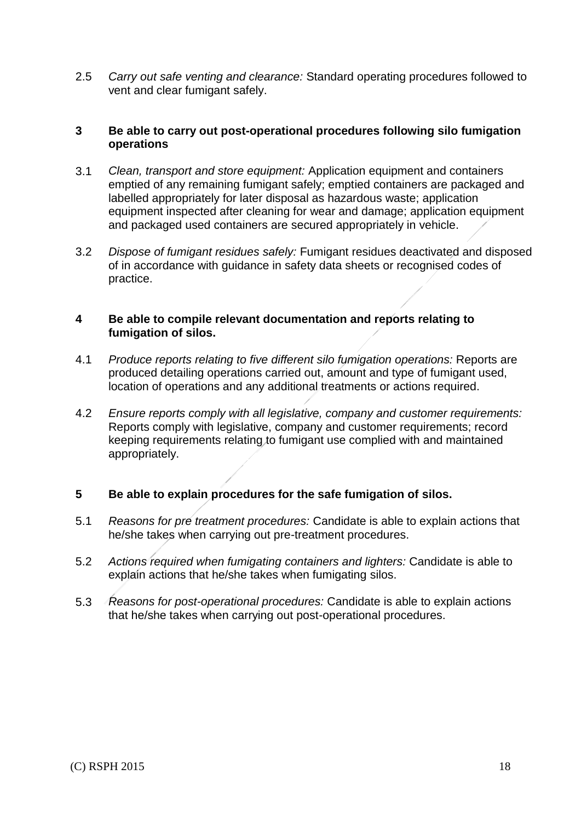2.5 *Carry out safe venting and clearance:* Standard operating procedures followed to vent and clear fumigant safely.

### **3 Be able to carry out post-operational procedures following silo fumigation operations**

- 3.1 *Clean, transport and store equipment:* Application equipment and containers emptied of any remaining fumigant safely; emptied containers are packaged and labelled appropriately for later disposal as hazardous waste; application equipment inspected after cleaning for wear and damage; application equipment and packaged used containers are secured appropriately in vehicle.
- 3.2 *Dispose of fumigant residues safely:* Fumigant residues deactivated and disposed of in accordance with guidance in safety data sheets or recognised codes of practice.

### **4 Be able to compile relevant documentation and reports relating to fumigation of silos.**

- 4.1 *Produce reports relating to five different silo fumigation operations:* Reports are produced detailing operations carried out, amount and type of fumigant used, location of operations and any additional treatments or actions required.
- 4.2 *Ensure reports comply with all legislative, company and customer requirements:* Reports comply with legislative, company and customer requirements; record keeping requirements relating to fumigant use complied with and maintained appropriately.

### **5 Be able to explain procedures for the safe fumigation of silos.**

- 5.1 *Reasons for pre treatment procedures:* Candidate is able to explain actions that he/she takes when carrying out pre-treatment procedures.
- 5.2 *Actions required when fumigating containers and lighters:* Candidate is able to explain actions that he/she takes when fumigating silos.
- 5.3 *Reasons for post-operational procedures:* Candidate is able to explain actions that he/she takes when carrying out post-operational procedures.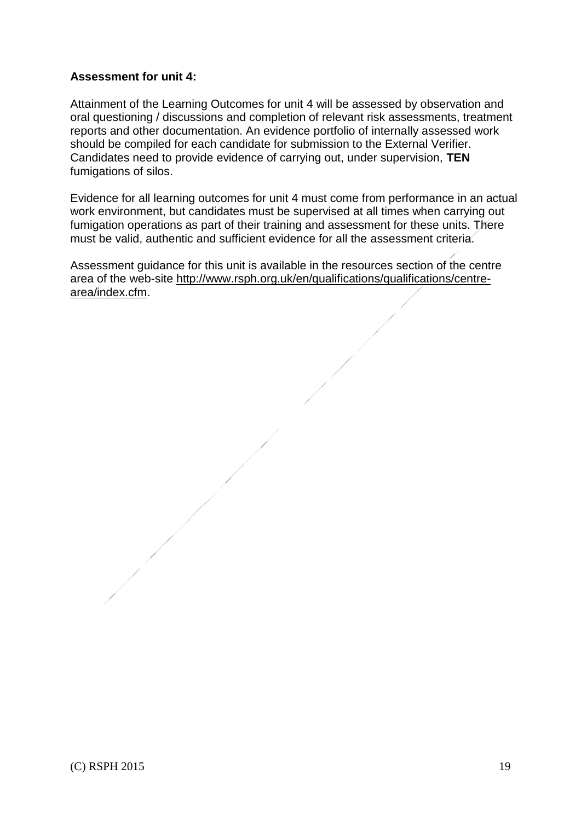### **Assessment for unit 4:**

Attainment of the Learning Outcomes for unit 4 will be assessed by observation and oral questioning / discussions and completion of relevant risk assessments, treatment reports and other documentation. An evidence portfolio of internally assessed work should be compiled for each candidate for submission to the External Verifier. Candidates need to provide evidence of carrying out, under supervision, **TEN** fumigations of silos.

Evidence for all learning outcomes for unit 4 must come from performance in an actual work environment, but candidates must be supervised at all times when carrying out fumigation operations as part of their training and assessment for these units. There must be valid, authentic and sufficient evidence for all the assessment criteria.

Assessment guidance for this unit is available in the resources section of the centre area of the web-site [http://www.rsph.org.uk/en/qualifications/qualifications/centre](http://www.rsph.org.uk/en/qualifications/qualifications/centre-area/index.cfm)[area/index.cfm.](http://www.rsph.org.uk/en/qualifications/qualifications/centre-area/index.cfm)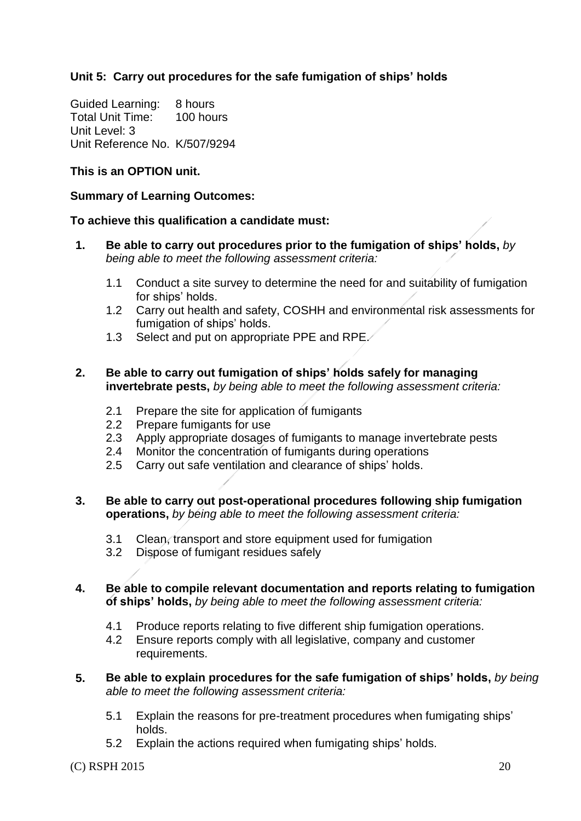### **Unit 5: Carry out procedures for the safe fumigation of ships' holds**

Guided Learning: 8 hours Total Unit Time: 100 hours Unit Level: 3 Unit Reference No. K/507/9294

### **This is an OPTION unit.**

### **Summary of Learning Outcomes:**

#### **To achieve this qualification a candidate must:**

- **1. Be able to carry out procedures prior to the fumigation of ships' holds,** *by being able to meet the following assessment criteria:*
	- 1.1 Conduct a site survey to determine the need for and suitability of fumigation for ships' holds.
	- 1.2 Carry out health and safety, COSHH and environmental risk assessments for fumigation of ships' holds.
	- 1.3 Select and put on appropriate PPE and RPE.

#### **2. Be able to carry out fumigation of ships' holds safely for managing invertebrate pests,** *by being able to meet the following assessment criteria:*

- 2.1 Prepare the site for application of fumigants
- 2.2 Prepare fumigants for use
- 2.3 Apply appropriate dosages of fumigants to manage invertebrate pests
- 2.4 Monitor the concentration of fumigants during operations
- 2.5 Carry out safe ventilation and clearance of ships' holds.

#### **3. Be able to carry out post-operational procedures following ship fumigation operations,** *by being able to meet the following assessment criteria:*

- 3.1 Clean, transport and store equipment used for fumigation
- 3.2 Dispose of fumigant residues safely

### **4. Be able to compile relevant documentation and reports relating to fumigation of ships' holds,** *by being able to meet the following assessment criteria:*

- 4.1 Produce reports relating to five different ship fumigation operations.
- 4.2 Ensure reports comply with all legislative, company and customer requirements.
- **5. Be able to explain procedures for the safe fumigation of ships' holds,** *by being able to meet the following assessment criteria:*
	- 5.1 Explain the reasons for pre-treatment procedures when fumigating ships' holds.
	- 5.2 Explain the actions required when fumigating ships' holds.

(C) RSPH 2015 20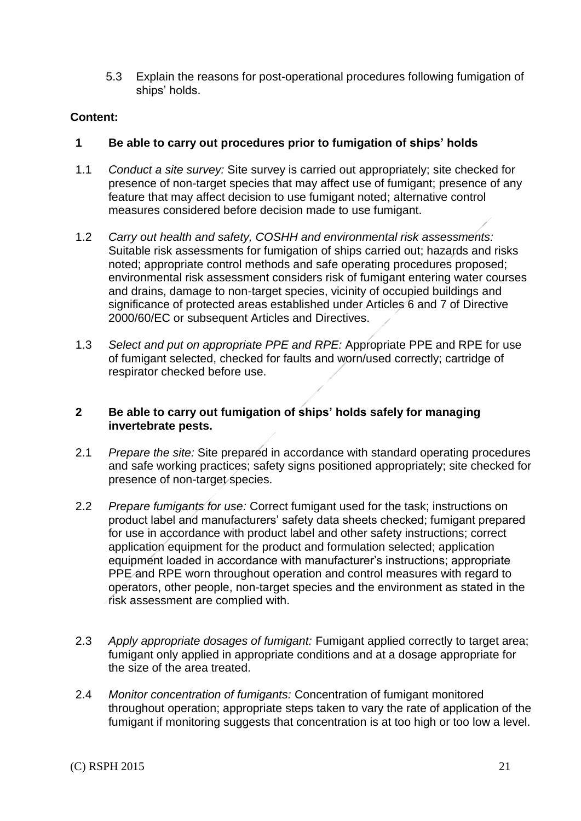5.3 Explain the reasons for post-operational procedures following fumigation of ships' holds.

### **Content:**

### **1 Be able to carry out procedures prior to fumigation of ships' holds**

- 1.1 *Conduct a site survey:* Site survey is carried out appropriately; site checked for presence of non-target species that may affect use of fumigant; presence of any feature that may affect decision to use fumigant noted; alternative control measures considered before decision made to use fumigant.
- 1.2 *Carry out health and safety, COSHH and environmental risk assessments:* Suitable risk assessments for fumigation of ships carried out; hazards and risks noted; appropriate control methods and safe operating procedures proposed; environmental risk assessment considers risk of fumigant entering water courses and drains, damage to non-target species, vicinity of occupied buildings and significance of protected areas established under Articles 6 and 7 of Directive 2000/60/EC or subsequent Articles and Directives.
- 1.3 *Select and put on appropriate PPE and RPE:* Appropriate PPE and RPE for use of fumigant selected, checked for faults and worn/used correctly; cartridge of respirator checked before use.

### **2 Be able to carry out fumigation of ships' holds safely for managing invertebrate pests.**

- 2.1 *Prepare the site:* Site prepared in accordance with standard operating procedures and safe working practices; safety signs positioned appropriately; site checked for presence of non-target species.
- 2.2 *Prepare fumigants for use:* Correct fumigant used for the task; instructions on product label and manufacturers' safety data sheets checked; fumigant prepared for use in accordance with product label and other safety instructions; correct application equipment for the product and formulation selected; application equipment loaded in accordance with manufacturer's instructions; appropriate PPE and RPE worn throughout operation and control measures with regard to operators, other people, non-target species and the environment as stated in the risk assessment are complied with.
- 2.3 *Apply appropriate dosages of fumigant:* Fumigant applied correctly to target area; fumigant only applied in appropriate conditions and at a dosage appropriate for the size of the area treated.
- 2.4 *Monitor concentration of fumigants:* Concentration of fumigant monitored throughout operation; appropriate steps taken to vary the rate of application of the fumigant if monitoring suggests that concentration is at too high or too low a level.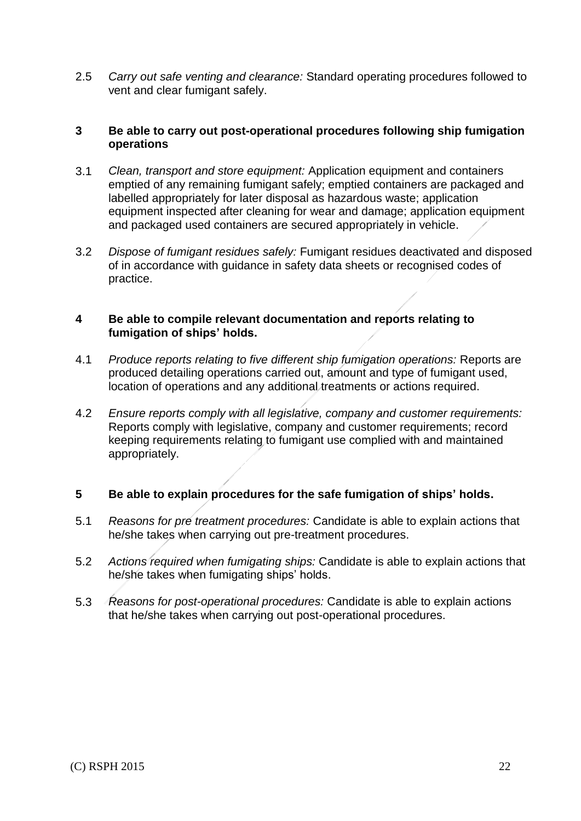2.5 *Carry out safe venting and clearance:* Standard operating procedures followed to vent and clear fumigant safely.

### **3 Be able to carry out post-operational procedures following ship fumigation operations**

- 3.1 *Clean, transport and store equipment:* Application equipment and containers emptied of any remaining fumigant safely; emptied containers are packaged and labelled appropriately for later disposal as hazardous waste; application equipment inspected after cleaning for wear and damage; application equipment and packaged used containers are secured appropriately in vehicle.
- 3.2 *Dispose of fumigant residues safely:* Fumigant residues deactivated and disposed of in accordance with guidance in safety data sheets or recognised codes of practice.

### **4 Be able to compile relevant documentation and reports relating to fumigation of ships' holds.**

- 4.1 *Produce reports relating to five different ship fumigation operations:* Reports are produced detailing operations carried out, amount and type of fumigant used, location of operations and any additional treatments or actions required.
- 4.2 *Ensure reports comply with all legislative, company and customer requirements:* Reports comply with legislative, company and customer requirements; record keeping requirements relating to fumigant use complied with and maintained appropriately.

### **5 Be able to explain procedures for the safe fumigation of ships' holds.**

- 5.1 *Reasons for pre treatment procedures:* Candidate is able to explain actions that he/she takes when carrying out pre-treatment procedures.
- 5.2 *Actions required when fumigating ships:* Candidate is able to explain actions that he/she takes when fumigating ships' holds.
- 5.3 *Reasons for post-operational procedures:* Candidate is able to explain actions that he/she takes when carrying out post-operational procedures.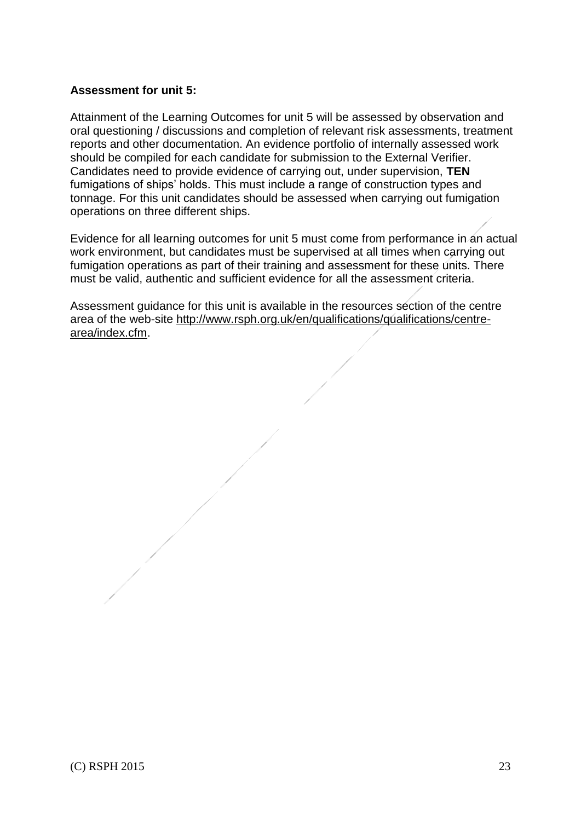### **Assessment for unit 5:**

Attainment of the Learning Outcomes for unit 5 will be assessed by observation and oral questioning / discussions and completion of relevant risk assessments, treatment reports and other documentation. An evidence portfolio of internally assessed work should be compiled for each candidate for submission to the External Verifier. Candidates need to provide evidence of carrying out, under supervision, **TEN** fumigations of ships' holds. This must include a range of construction types and tonnage. For this unit candidates should be assessed when carrying out fumigation operations on three different ships.

Evidence for all learning outcomes for unit 5 must come from performance in an actual work environment, but candidates must be supervised at all times when carrying out fumigation operations as part of their training and assessment for these units. There must be valid, authentic and sufficient evidence for all the assessment criteria.

Assessment guidance for this unit is available in the resources section of the centre area of the web-site [http://www.rsph.org.uk/en/qualifications/qualifications/centre](http://www.rsph.org.uk/en/qualifications/qualifications/centre-area/index.cfm)[area/index.cfm.](http://www.rsph.org.uk/en/qualifications/qualifications/centre-area/index.cfm)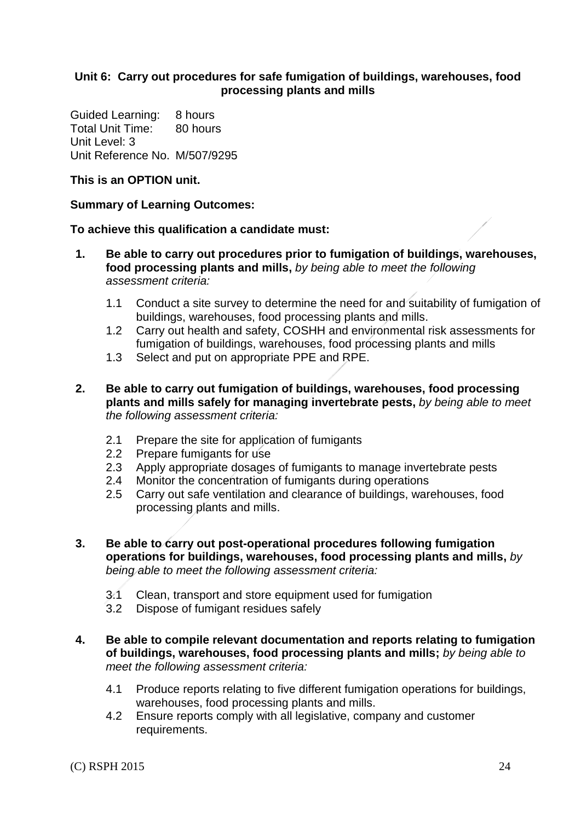### **Unit 6: Carry out procedures for safe fumigation of buildings, warehouses, food processing plants and mills**

Guided Learning: 8 hours Total Unit Time: 80 hours Unit Level: 3 Unit Reference No. M/507/9295

### **This is an OPTION unit.**

### **Summary of Learning Outcomes:**

#### **To achieve this qualification a candidate must:**

- **1. Be able to carry out procedures prior to fumigation of buildings, warehouses, food processing plants and mills,** *by being able to meet the following assessment criteria:*
	- 1.1 Conduct a site survey to determine the need for and suitability of fumigation of buildings, warehouses, food processing plants and mills.
	- 1.2 Carry out health and safety, COSHH and environmental risk assessments for fumigation of buildings, warehouses, food processing plants and mills
	- 1.3 Select and put on appropriate PPE and RPE.
- **2. Be able to carry out fumigation of buildings, warehouses, food processing plants and mills safely for managing invertebrate pests,** *by being able to meet the following assessment criteria:*
	- 2.1 Prepare the site for application of fumigants
	- 2.2 Prepare fumigants for use
	- 2.3 Apply appropriate dosages of fumigants to manage invertebrate pests
	- 2.4 Monitor the concentration of fumigants during operations
	- 2.5 Carry out safe ventilation and clearance of buildings, warehouses, food processing plants and mills.
- **3. Be able to carry out post-operational procedures following fumigation operations for buildings, warehouses, food processing plants and mills,** *by being able to meet the following assessment criteria:*
	- 3.1 Clean, transport and store equipment used for fumigation
	- 3.2 Dispose of fumigant residues safely
- **4. Be able to compile relevant documentation and reports relating to fumigation of buildings, warehouses, food processing plants and mills;** *by being able to meet the following assessment criteria:*
	- 4.1 Produce reports relating to five different fumigation operations for buildings, warehouses, food processing plants and mills.
	- 4.2 Ensure reports comply with all legislative, company and customer requirements.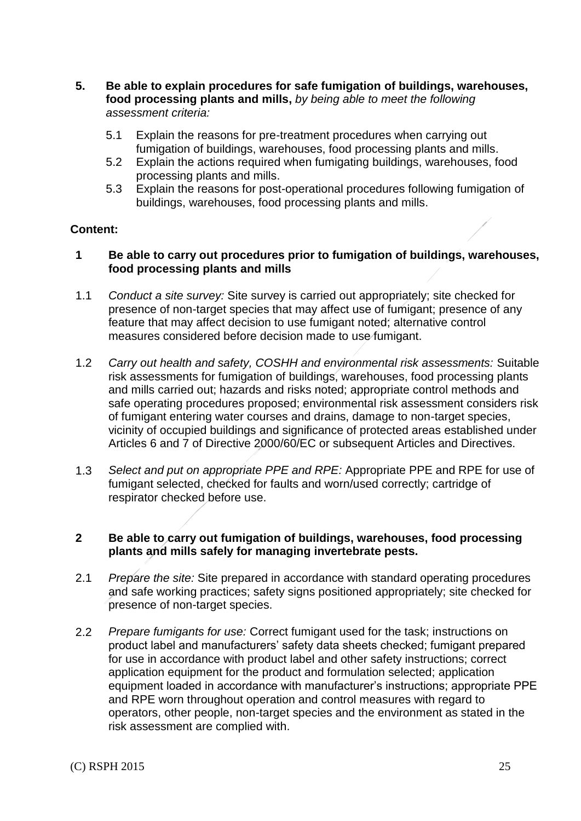- **5. Be able to explain procedures for safe fumigation of buildings, warehouses, food processing plants and mills,** *by being able to meet the following assessment criteria:*
	- 5.1 Explain the reasons for pre-treatment procedures when carrying out fumigation of buildings, warehouses, food processing plants and mills.
	- 5.2 Explain the actions required when fumigating buildings, warehouses, food processing plants and mills.
	- 5.3 Explain the reasons for post-operational procedures following fumigation of buildings, warehouses, food processing plants and mills.

### **Content:**

- **1 Be able to carry out procedures prior to fumigation of buildings, warehouses, food processing plants and mills**
- 1.1 *Conduct a site survey:* Site survey is carried out appropriately; site checked for presence of non-target species that may affect use of fumigant; presence of any feature that may affect decision to use fumigant noted; alternative control measures considered before decision made to use fumigant.
- 1.2 *Carry out health and safety, COSHH and environmental risk assessments:* Suitable risk assessments for fumigation of buildings, warehouses, food processing plants and mills carried out; hazards and risks noted; appropriate control methods and safe operating procedures proposed; environmental risk assessment considers risk of fumigant entering water courses and drains, damage to non-target species, vicinity of occupied buildings and significance of protected areas established under Articles 6 and 7 of Directive 2000/60/EC or subsequent Articles and Directives.
- 1.3 *Select and put on appropriate PPE and RPE:* Appropriate PPE and RPE for use of fumigant selected, checked for faults and worn/used correctly; cartridge of respirator checked before use.

### **2 Be able to carry out fumigation of buildings, warehouses, food processing plants and mills safely for managing invertebrate pests.**

- 2.1 *Prepare the site:* Site prepared in accordance with standard operating procedures and safe working practices; safety signs positioned appropriately; site checked for presence of non-target species.
- 2.2 *Prepare fumigants for use:* Correct fumigant used for the task; instructions on product label and manufacturers' safety data sheets checked; fumigant prepared for use in accordance with product label and other safety instructions; correct application equipment for the product and formulation selected; application equipment loaded in accordance with manufacturer's instructions; appropriate PPE and RPE worn throughout operation and control measures with regard to operators, other people, non-target species and the environment as stated in the risk assessment are complied with.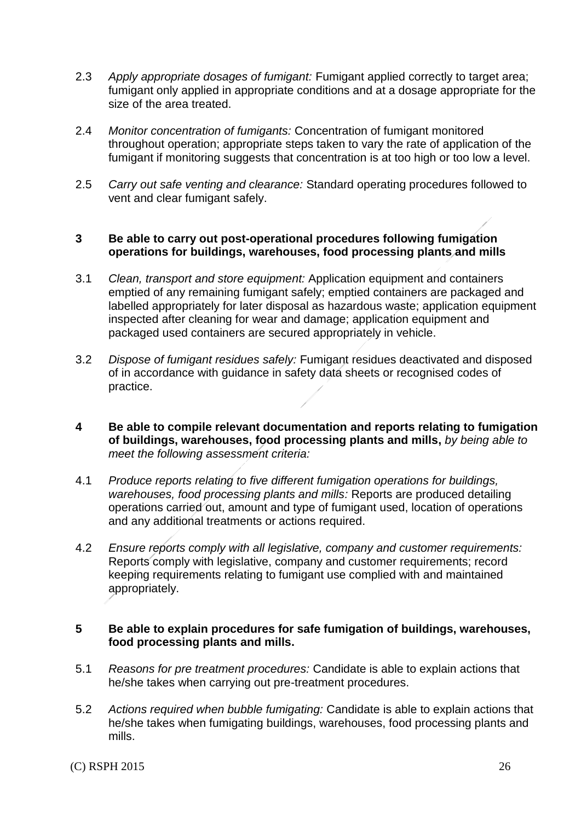- 2.3 *Apply appropriate dosages of fumigant:* Fumigant applied correctly to target area; fumigant only applied in appropriate conditions and at a dosage appropriate for the size of the area treated.
- 2.4 *Monitor concentration of fumigants:* Concentration of fumigant monitored throughout operation; appropriate steps taken to vary the rate of application of the fumigant if monitoring suggests that concentration is at too high or too low a level.
- 2.5 *Carry out safe venting and clearance:* Standard operating procedures followed to vent and clear fumigant safely.

#### **3 Be able to carry out post-operational procedures following fumigation operations for buildings, warehouses, food processing plants and mills**

- 3.1 *Clean, transport and store equipment:* Application equipment and containers emptied of any remaining fumigant safely; emptied containers are packaged and labelled appropriately for later disposal as hazardous waste; application equipment inspected after cleaning for wear and damage; application equipment and packaged used containers are secured appropriately in vehicle.
- 3.2 *Dispose of fumigant residues safely:* Fumigant residues deactivated and disposed of in accordance with guidance in safety data sheets or recognised codes of practice.
- **4 Be able to compile relevant documentation and reports relating to fumigation of buildings, warehouses, food processing plants and mills,** *by being able to meet the following assessment criteria:*
- 4.1 *Produce reports relating to five different fumigation operations for buildings, warehouses, food processing plants and mills:* Reports are produced detailing operations carried out, amount and type of fumigant used, location of operations and any additional treatments or actions required.
- 4.2 *Ensure reports comply with all legislative, company and customer requirements:* Reports comply with legislative, company and customer requirements; record keeping requirements relating to fumigant use complied with and maintained appropriately.

#### **5 Be able to explain procedures for safe fumigation of buildings, warehouses, food processing plants and mills.**

- 5.1 *Reasons for pre treatment procedures:* Candidate is able to explain actions that he/she takes when carrying out pre-treatment procedures.
- 5.2 *Actions required when bubble fumigating:* Candidate is able to explain actions that he/she takes when fumigating buildings, warehouses, food processing plants and mills.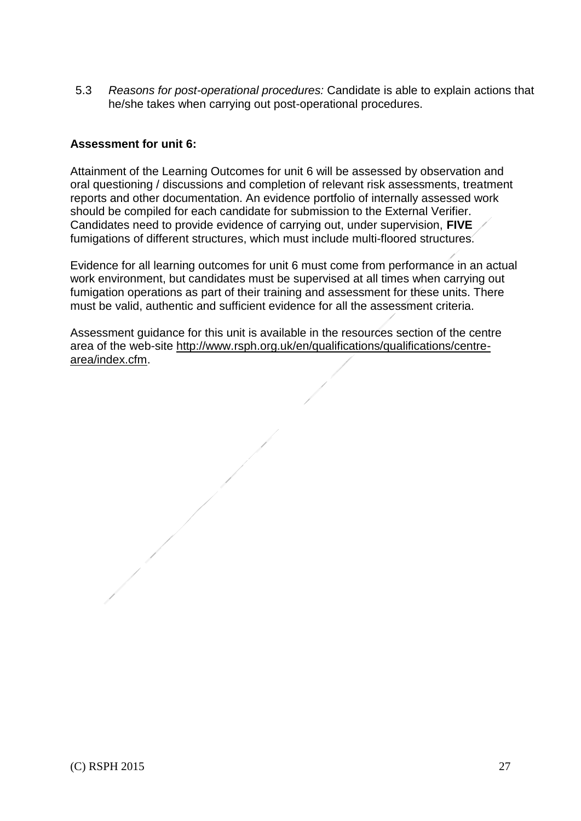5.3 *Reasons for post-operational procedures:* Candidate is able to explain actions that he/she takes when carrying out post-operational procedures.

### **Assessment for unit 6:**

Attainment of the Learning Outcomes for unit 6 will be assessed by observation and oral questioning / discussions and completion of relevant risk assessments, treatment reports and other documentation. An evidence portfolio of internally assessed work should be compiled for each candidate for submission to the External Verifier. Candidates need to provide evidence of carrying out, under supervision, **FIVE**  fumigations of different structures, which must include multi-floored structures.

Evidence for all learning outcomes for unit 6 must come from performance in an actual work environment, but candidates must be supervised at all times when carrying out fumigation operations as part of their training and assessment for these units. There must be valid, authentic and sufficient evidence for all the assessment criteria.

Assessment guidance for this unit is available in the resources section of the centre area of the web-site [http://www.rsph.org.uk/en/qualifications/qualifications/centre](http://www.rsph.org.uk/en/qualifications/qualifications/centre-area/index.cfm)[area/index.cfm.](http://www.rsph.org.uk/en/qualifications/qualifications/centre-area/index.cfm)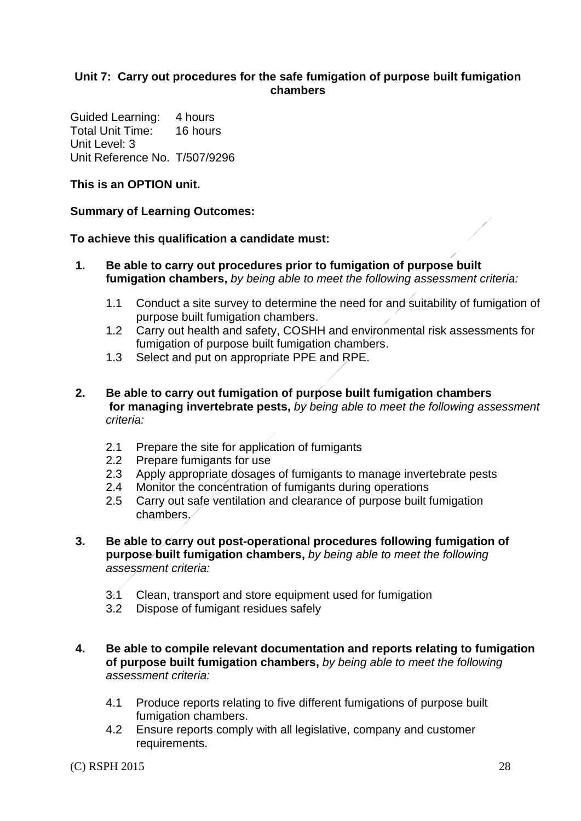### **Unit 7: Carry out procedures for the safe fumigation of purpose built fumigation chambers**

Guided Learning: 4 hours Total Unit Time: 16 hours Unit Level: 3 Unit Reference No. T/507/9296

**This is an OPTION unit.**

### **Summary of Learning Outcomes:**

**To achieve this qualification a candidate must:**

- **1. Be able to carry out procedures prior to fumigation of purpose built fumigation chambers,** *by being able to meet the following assessment criteria:*
	- 1.1 Conduct a site survey to determine the need for and suitability of fumigation of purpose built fumigation chambers.
	- 1.2 Carry out health and safety, COSHH and environmental risk assessments for fumigation of purpose built fumigation chambers.
	- 1.3 Select and put on appropriate PPE and RPE.
- **2. Be able to carry out fumigation of purpose built fumigation chambers for managing invertebrate pests,** *by being able to meet the following assessment criteria:*
	- 2.1 Prepare the site for application of fumigants
	- 2.2 Prepare fumigants for use
	- 2.3 Apply appropriate dosages of fumigants to manage invertebrate pests
	- 2.4 Monitor the concentration of fumigants during operations
	- 2.5 Carry out safe ventilation and clearance of purpose built fumigation chambers.
- **3. Be able to carry out post-operational procedures following fumigation of purpose built fumigation chambers,** *by being able to meet the following assessment criteria:*
	- 3.1 Clean, transport and store equipment used for fumigation
	- 3.2 Dispose of fumigant residues safely
- **4. Be able to compile relevant documentation and reports relating to fumigation of purpose built fumigation chambers,** *by being able to meet the following assessment criteria:*
	- 4.1 Produce reports relating to five different fumigations of purpose built fumigation chambers.
	- 4.2 Ensure reports comply with all legislative, company and customer requirements.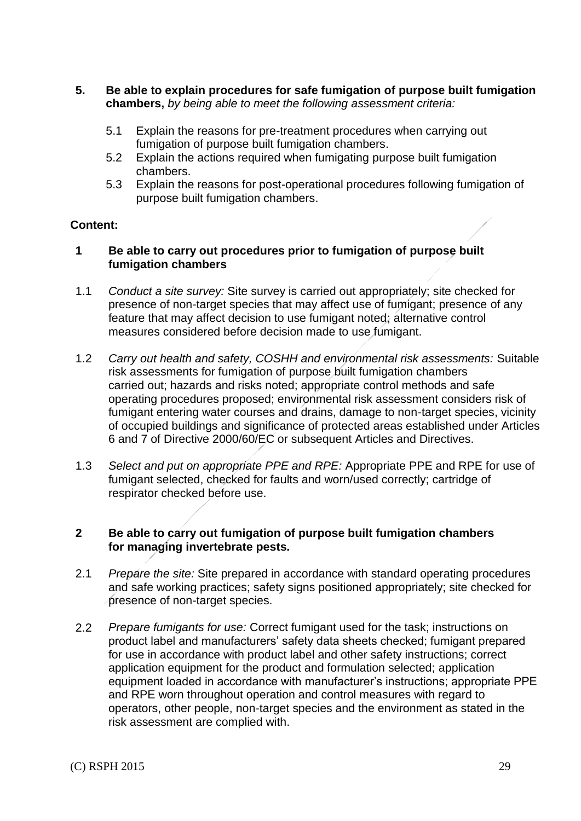- **5. Be able to explain procedures for safe fumigation of purpose built fumigation chambers,** *by being able to meet the following assessment criteria:*
	- 5.1 Explain the reasons for pre-treatment procedures when carrying out fumigation of purpose built fumigation chambers.
	- 5.2 Explain the actions required when fumigating purpose built fumigation chambers.
	- 5.3 Explain the reasons for post-operational procedures following fumigation of purpose built fumigation chambers.

### **Content:**

### **1 Be able to carry out procedures prior to fumigation of purpose built fumigation chambers**

- 1.1 *Conduct a site survey:* Site survey is carried out appropriately; site checked for presence of non-target species that may affect use of fumigant; presence of any feature that may affect decision to use fumigant noted; alternative control measures considered before decision made to use fumigant.
- 1.2 *Carry out health and safety, COSHH and environmental risk assessments:* Suitable risk assessments for fumigation of purpose built fumigation chambers carried out; hazards and risks noted; appropriate control methods and safe operating procedures proposed; environmental risk assessment considers risk of fumigant entering water courses and drains, damage to non-target species, vicinity of occupied buildings and significance of protected areas established under Articles 6 and 7 of Directive 2000/60/EC or subsequent Articles and Directives.
- 1.3 *Select and put on appropriate PPE and RPE:* Appropriate PPE and RPE for use of fumigant selected, checked for faults and worn/used correctly; cartridge of respirator checked before use.

### **2 Be able to carry out fumigation of purpose built fumigation chambers for managing invertebrate pests.**

- 2.1 *Prepare the site:* Site prepared in accordance with standard operating procedures and safe working practices; safety signs positioned appropriately; site checked for presence of non-target species.
- 2.2 *Prepare fumigants for use:* Correct fumigant used for the task; instructions on product label and manufacturers' safety data sheets checked; fumigant prepared for use in accordance with product label and other safety instructions; correct application equipment for the product and formulation selected; application equipment loaded in accordance with manufacturer's instructions; appropriate PPE and RPE worn throughout operation and control measures with regard to operators, other people, non-target species and the environment as stated in the risk assessment are complied with.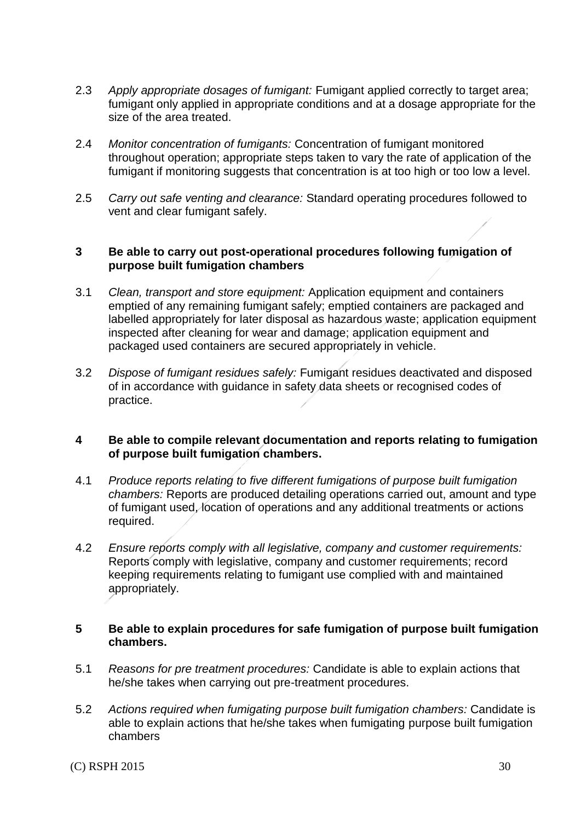- 2.3 *Apply appropriate dosages of fumigant:* Fumigant applied correctly to target area; fumigant only applied in appropriate conditions and at a dosage appropriate for the size of the area treated.
- 2.4 *Monitor concentration of fumigants:* Concentration of fumigant monitored throughout operation; appropriate steps taken to vary the rate of application of the fumigant if monitoring suggests that concentration is at too high or too low a level.
- 2.5 *Carry out safe venting and clearance:* Standard operating procedures followed to vent and clear fumigant safely.

### **3 Be able to carry out post-operational procedures following fumigation of purpose built fumigation chambers**

- 3.1 *Clean, transport and store equipment:* Application equipment and containers emptied of any remaining fumigant safely; emptied containers are packaged and labelled appropriately for later disposal as hazardous waste; application equipment inspected after cleaning for wear and damage; application equipment and packaged used containers are secured appropriately in vehicle.
- 3.2 *Dispose of fumigant residues safely:* Fumigant residues deactivated and disposed of in accordance with guidance in safety data sheets or recognised codes of practice.

#### **4 Be able to compile relevant documentation and reports relating to fumigation of purpose built fumigation chambers.**

- 4.1 *Produce reports relating to five different fumigations of purpose built fumigation chambers:* Reports are produced detailing operations carried out, amount and type of fumigant used, location of operations and any additional treatments or actions required.
- 4.2 *Ensure reports comply with all legislative, company and customer requirements:* Reports comply with legislative, company and customer requirements; record keeping requirements relating to fumigant use complied with and maintained appropriately.

#### **5 Be able to explain procedures for safe fumigation of purpose built fumigation chambers.**

- 5.1 *Reasons for pre treatment procedures:* Candidate is able to explain actions that he/she takes when carrying out pre-treatment procedures.
- 5.2 *Actions required when fumigating purpose built fumigation chambers:* Candidate is able to explain actions that he/she takes when fumigating purpose built fumigation chambers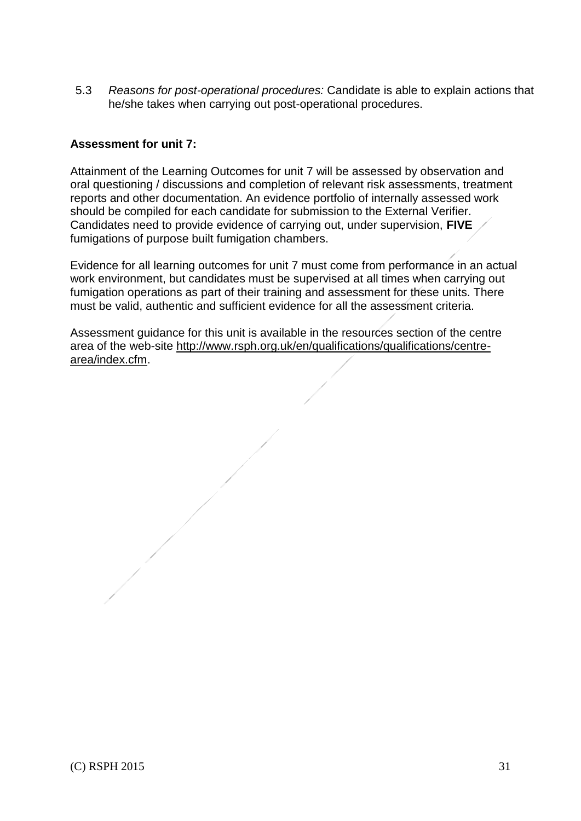5.3 *Reasons for post-operational procedures:* Candidate is able to explain actions that he/she takes when carrying out post-operational procedures.

### **Assessment for unit 7:**

Attainment of the Learning Outcomes for unit 7 will be assessed by observation and oral questioning / discussions and completion of relevant risk assessments, treatment reports and other documentation. An evidence portfolio of internally assessed work should be compiled for each candidate for submission to the External Verifier. Candidates need to provide evidence of carrying out, under supervision, **FIVE**  fumigations of purpose built fumigation chambers.

Evidence for all learning outcomes for unit 7 must come from performance in an actual work environment, but candidates must be supervised at all times when carrying out fumigation operations as part of their training and assessment for these units. There must be valid, authentic and sufficient evidence for all the assessment criteria.

Assessment guidance for this unit is available in the resources section of the centre area of the web-site [http://www.rsph.org.uk/en/qualifications/qualifications/centre](http://www.rsph.org.uk/en/qualifications/qualifications/centre-area/index.cfm)[area/index.cfm.](http://www.rsph.org.uk/en/qualifications/qualifications/centre-area/index.cfm)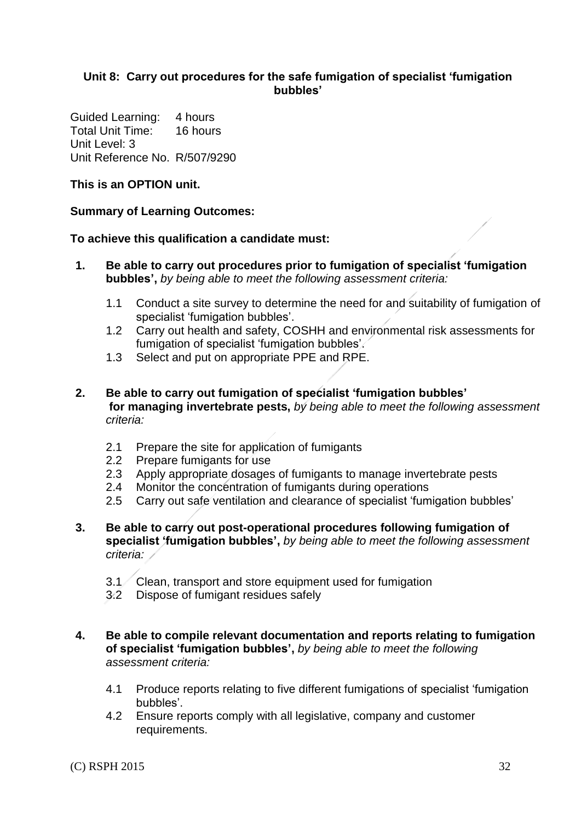### **Unit 8: Carry out procedures for the safe fumigation of specialist 'fumigation bubbles'**

Guided Learning: 4 hours Total Unit Time: 16 hours Unit Level: 3 Unit Reference No. R/507/9290

### **This is an OPTION unit.**

### **Summary of Learning Outcomes:**

#### **To achieve this qualification a candidate must:**

- **1. Be able to carry out procedures prior to fumigation of specialist 'fumigation bubbles',** *by being able to meet the following assessment criteria:*
	- 1.1 Conduct a site survey to determine the need for and suitability of fumigation of specialist 'fumigation bubbles'.
	- 1.2 Carry out health and safety, COSHH and environmental risk assessments for fumigation of specialist 'fumigation bubbles'.
	- 1.3 Select and put on appropriate PPE and RPE.
- **2. Be able to carry out fumigation of specialist 'fumigation bubbles' for managing invertebrate pests,** *by being able to meet the following assessment criteria:*
	- 2.1 Prepare the site for application of fumigants
	- 2.2 Prepare fumigants for use
	- 2.3 Apply appropriate dosages of fumigants to manage invertebrate pests
	- 2.4 Monitor the concentration of fumigants during operations
	- 2.5 Carry out safe ventilation and clearance of specialist 'fumigation bubbles'
- **3. Be able to carry out post-operational procedures following fumigation of specialist 'fumigation bubbles',** *by being able to meet the following assessment criteria:*
	- 3.1 Clean, transport and store equipment used for fumigation
	- 3.2 Dispose of fumigant residues safely
- **4. Be able to compile relevant documentation and reports relating to fumigation of specialist 'fumigation bubbles',** *by being able to meet the following assessment criteria:*
	- 4.1 Produce reports relating to five different fumigations of specialist 'fumigation bubbles'.
	- 4.2 Ensure reports comply with all legislative, company and customer requirements.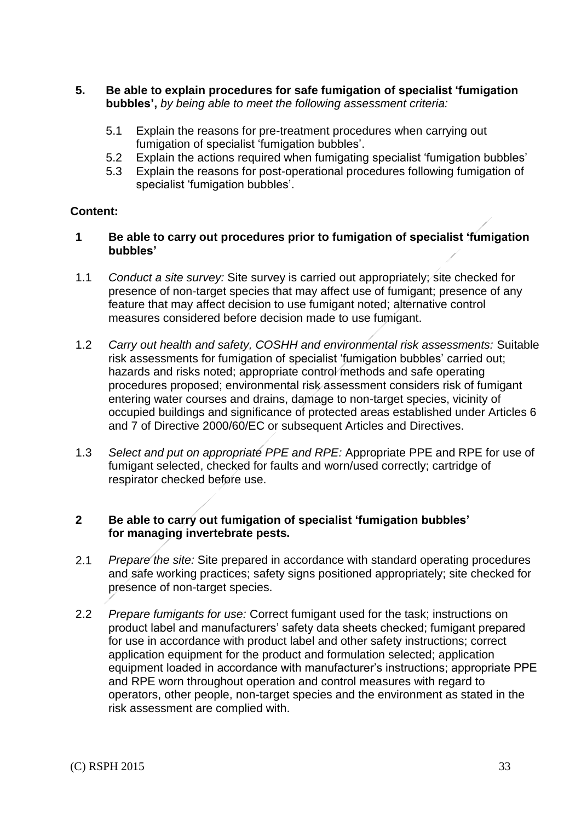- **5. Be able to explain procedures for safe fumigation of specialist 'fumigation bubbles',** *by being able to meet the following assessment criteria:*
	- 5.1 Explain the reasons for pre-treatment procedures when carrying out fumigation of specialist 'fumigation bubbles'.
	- 5.2 Explain the actions required when fumigating specialist 'fumigation bubbles'
	- 5.3 Explain the reasons for post-operational procedures following fumigation of specialist 'fumigation bubbles'.

### **Content:**

- **1 Be able to carry out procedures prior to fumigation of specialist 'fumigation bubbles'**
- 1.1 *Conduct a site survey:* Site survey is carried out appropriately; site checked for presence of non-target species that may affect use of fumigant; presence of any feature that may affect decision to use fumigant noted; alternative control measures considered before decision made to use fumigant.
- 1.2 *Carry out health and safety, COSHH and environmental risk assessments:* Suitable risk assessments for fumigation of specialist 'fumigation bubbles' carried out; hazards and risks noted; appropriate control methods and safe operating procedures proposed; environmental risk assessment considers risk of fumigant entering water courses and drains, damage to non-target species, vicinity of occupied buildings and significance of protected areas established under Articles 6 and 7 of Directive 2000/60/EC or subsequent Articles and Directives.
- 1.3 *Select and put on appropriate PPE and RPE:* Appropriate PPE and RPE for use of fumigant selected, checked for faults and worn/used correctly; cartridge of respirator checked before use.

#### **2 Be able to carry out fumigation of specialist 'fumigation bubbles' for managing invertebrate pests.**

- 2.1 *Prepare the site:* Site prepared in accordance with standard operating procedures and safe working practices; safety signs positioned appropriately; site checked for presence of non-target species.
- 2.2 *Prepare fumigants for use:* Correct fumigant used for the task; instructions on product label and manufacturers' safety data sheets checked; fumigant prepared for use in accordance with product label and other safety instructions; correct application equipment for the product and formulation selected; application equipment loaded in accordance with manufacturer's instructions; appropriate PPE and RPE worn throughout operation and control measures with regard to operators, other people, non-target species and the environment as stated in the risk assessment are complied with.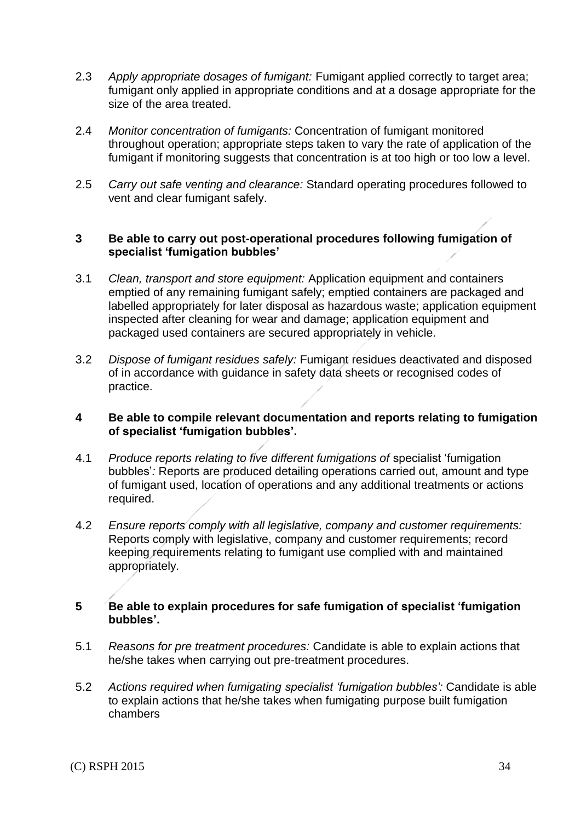- 2.3 *Apply appropriate dosages of fumigant:* Fumigant applied correctly to target area; fumigant only applied in appropriate conditions and at a dosage appropriate for the size of the area treated.
- 2.4 *Monitor concentration of fumigants:* Concentration of fumigant monitored throughout operation; appropriate steps taken to vary the rate of application of the fumigant if monitoring suggests that concentration is at too high or too low a level.
- 2.5 *Carry out safe venting and clearance:* Standard operating procedures followed to vent and clear fumigant safely.

### **3 Be able to carry out post-operational procedures following fumigation of specialist 'fumigation bubbles'**

- 3.1 *Clean, transport and store equipment:* Application equipment and containers emptied of any remaining fumigant safely; emptied containers are packaged and labelled appropriately for later disposal as hazardous waste; application equipment inspected after cleaning for wear and damage; application equipment and packaged used containers are secured appropriately in vehicle.
- 3.2 *Dispose of fumigant residues safely:* Fumigant residues deactivated and disposed of in accordance with guidance in safety data sheets or recognised codes of practice.

### **4 Be able to compile relevant documentation and reports relating to fumigation of specialist 'fumigation bubbles'.**

- 4.1 *Produce reports relating to five different fumigations of* specialist 'fumigation bubbles'*:* Reports are produced detailing operations carried out, amount and type of fumigant used, location of operations and any additional treatments or actions required.
- 4.2 *Ensure reports comply with all legislative, company and customer requirements:* Reports comply with legislative, company and customer requirements; record keeping requirements relating to fumigant use complied with and maintained appropriately.

### **5 Be able to explain procedures for safe fumigation of specialist 'fumigation bubbles'.**

- 5.1 *Reasons for pre treatment procedures:* Candidate is able to explain actions that he/she takes when carrying out pre-treatment procedures.
- 5.2 *Actions required when fumigating specialist 'fumigation bubbles':* Candidate is able to explain actions that he/she takes when fumigating purpose built fumigation chambers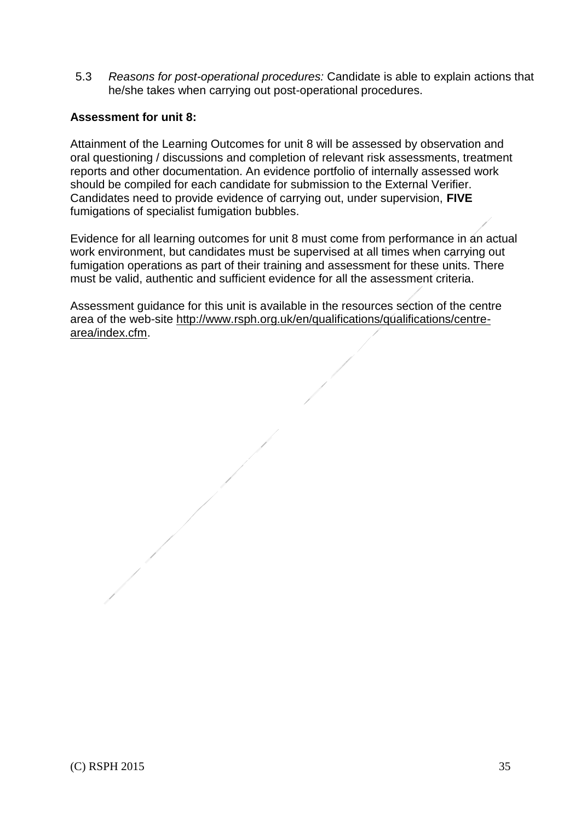5.3 *Reasons for post-operational procedures:* Candidate is able to explain actions that he/she takes when carrying out post-operational procedures.

### **Assessment for unit 8:**

Attainment of the Learning Outcomes for unit 8 will be assessed by observation and oral questioning / discussions and completion of relevant risk assessments, treatment reports and other documentation. An evidence portfolio of internally assessed work should be compiled for each candidate for submission to the External Verifier. Candidates need to provide evidence of carrying out, under supervision, **FIVE**  fumigations of specialist fumigation bubbles.

Evidence for all learning outcomes for unit 8 must come from performance in an actual work environment, but candidates must be supervised at all times when carrying out fumigation operations as part of their training and assessment for these units. There must be valid, authentic and sufficient evidence for all the assessment criteria.

Assessment guidance for this unit is available in the resources section of the centre area of the web-site [http://www.rsph.org.uk/en/qualifications/qualifications/centre](http://www.rsph.org.uk/en/qualifications/qualifications/centre-area/index.cfm)[area/index.cfm.](http://www.rsph.org.uk/en/qualifications/qualifications/centre-area/index.cfm)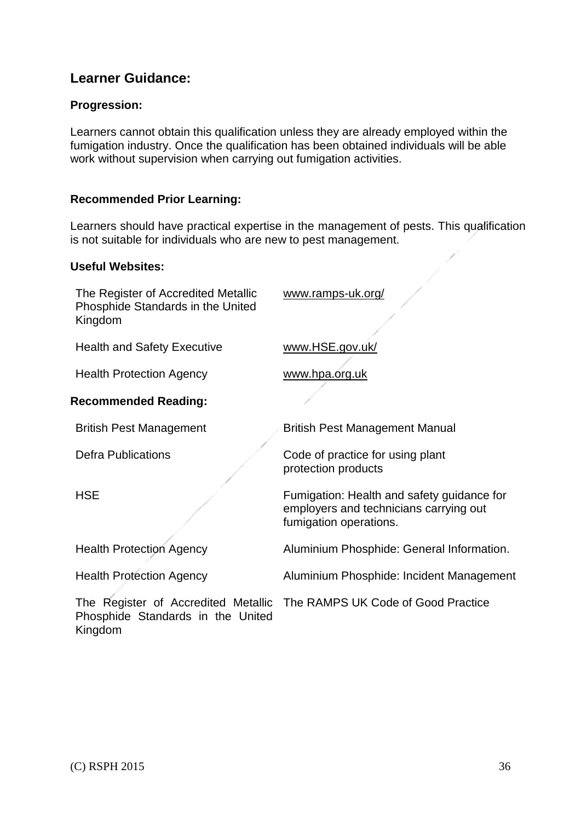# **Learner Guidance:**

### **Progression:**

Learners cannot obtain this qualification unless they are already employed within the fumigation industry. Once the qualification has been obtained individuals will be able work without supervision when carrying out fumigation activities.

### **Recommended Prior Learning:**

Learners should have practical expertise in the management of pests. This qualification is not suitable for individuals who are new to pest management.

#### **Useful Websites:**

| The Register of Accredited Metallic<br>Phosphide Standards in the United<br>Kingdom | www.ramps-uk.org/                                                                                              |
|-------------------------------------------------------------------------------------|----------------------------------------------------------------------------------------------------------------|
| <b>Health and Safety Executive</b>                                                  | www.HSE.gov.uk/                                                                                                |
| <b>Health Protection Agency</b>                                                     | www.hpa.org.uk                                                                                                 |
| <b>Recommended Reading:</b>                                                         |                                                                                                                |
| <b>British Pest Management</b>                                                      | <b>British Pest Management Manual</b>                                                                          |
| <b>Defra Publications</b>                                                           | Code of practice for using plant<br>protection products                                                        |
| <b>HSE</b>                                                                          | Fumigation: Health and safety guidance for<br>employers and technicians carrying out<br>fumigation operations. |
| <b>Health Protection Agency</b>                                                     | Aluminium Phosphide: General Information.                                                                      |
| <b>Health Protection Agency</b>                                                     | Aluminium Phosphide: Incident Management                                                                       |
| Phosphide Standards in the United<br>Kingdom                                        | The Register of Accredited Metallic The RAMPS UK Code of Good Practice                                         |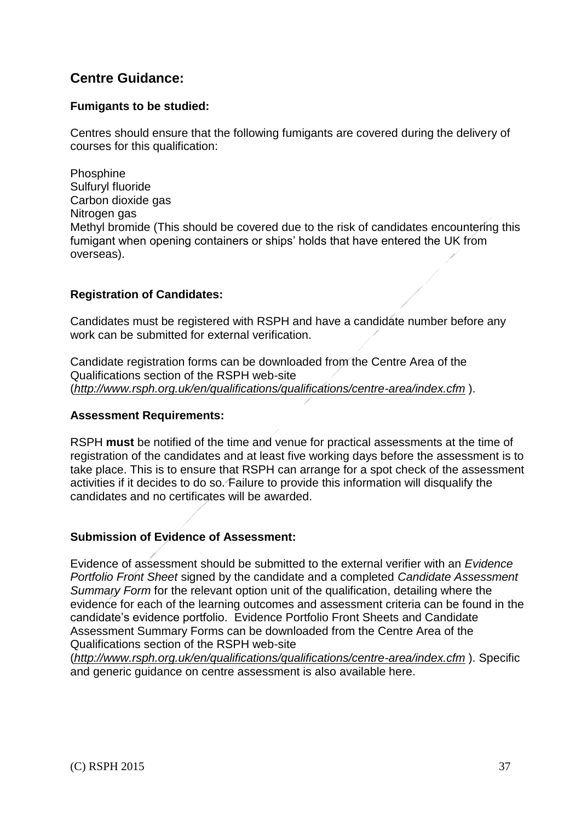# **Centre Guidance:**

### **Fumigants to be studied:**

Centres should ensure that the following fumigants are covered during the delivery of courses for this qualification:

Phosphine Sulfuryl fluoride Carbon dioxide gas Nitrogen gas Methyl bromide (This should be covered due to the risk of candidates encountering this fumigant when opening containers or ships' holds that have entered the UK from overseas).

### **Registration of Candidates:**

Candidates must be registered with RSPH and have a candidate number before any work can be submitted for external verification.

Candidate registration forms can be downloaded from the Centre Area of the Qualifications section of the RSPH web-site (*<http://www.rsph.org.uk/en/qualifications/qualifications/centre-area/index.cfm>* ).

### **Assessment Requirements:**

RSPH **must** be notified of the time and venue for practical assessments at the time of registration of the candidates and at least five working days before the assessment is to take place. This is to ensure that RSPH can arrange for a spot check of the assessment activities if it decides to do so. Failure to provide this information will disqualify the candidates and no certificates will be awarded.

### **Submission of Evidence of Assessment:**

Evidence of assessment should be submitted to the external verifier with an *Evidence Portfolio Front Sheet* signed by the candidate and a completed *Candidate Assessment Summary Form* for the relevant option unit of the qualification, detailing where the evidence for each of the learning outcomes and assessment criteria can be found in the candidate's evidence portfolio. Evidence Portfolio Front Sheets and Candidate Assessment Summary Forms can be downloaded from the Centre Area of the Qualifications section of the RSPH web-site

(*<http://www.rsph.org.uk/en/qualifications/qualifications/centre-area/index.cfm>* ). Specific and generic guidance on centre assessment is also available here.